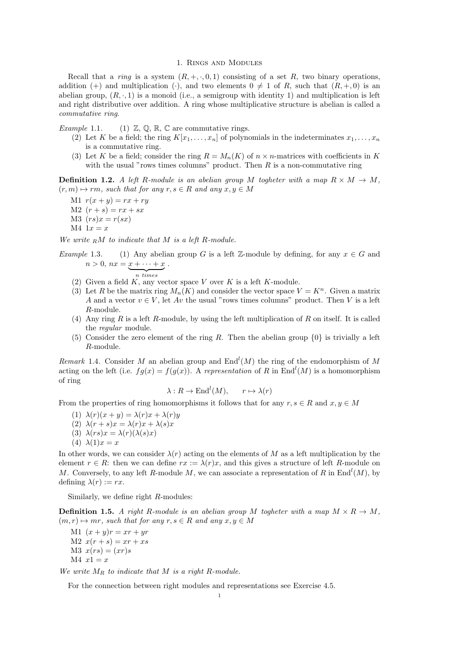## 1. Rings and Modules

Recall that a ring is a system  $(R, +, \cdot, 0, 1)$  consisting of a set R, two binary operations, addition (+) and multiplication (-), and two elements  $0 \neq 1$  of R, such that  $(R, +, 0)$  is an abelian group,  $(R, \cdot, 1)$  is a monoid (i.e., a semigroup with identity 1) and multiplication is left and right distributive over addition. A ring whose multiplicative structure is abelian is called a commutative ring.

*Example* 1.1. (1)  $\mathbb{Z}, \mathbb{Q}, \mathbb{R}, \mathbb{C}$  are commutative rings.

- (2) Let K be a field; the ring  $K[x_1, \ldots, x_n]$  of polynomials in the indeterminates  $x_1, \ldots, x_n$ is a commutative ring.
- (3) Let K be a field; consider the ring  $R = M_n(K)$  of  $n \times n$ -matrices with coefficients in K with the usual "rows times columns" product. Then  $R$  is a non-commutative ring

**Definition 1.2.** A left R-module is an abelian group M togheter with a map  $R \times M \rightarrow M$ ,  $(r, m) \mapsto rm$ , such that for any  $r, s \in R$  and any  $x, y \in M$ 

- M1  $r(x + y) = rx + ry$
- $M2(r + s) = rx + sx$
- $M3 (rs)x = r(sx)$
- $M4 \t1x = x$

We write  $_R M$  to indicate that M is a left R-module.

- Example 1.3. (1) Any abelian group G is a left Z-module by defining, for any  $x \in G$  and  $n > 0$ ,  $nx = x + \cdots + x$  $\overline{n}$  times .
	- (2) Given a field  $K$ , any vector space V over  $K$  is a left  $K$ -module.
	- (3) Let R be the matrix ring  $M_n(K)$  and consider the vector space  $V = K^n$ . Given a matrix A and a vector  $v \in V$ , let Av the usual "rows times columns" product. Then V is a left R-module.
	- (4) Any ring R is a left R-module, by using the left multiplication of R on itself. It is called the regular module.
	- (5) Consider the zero element of the ring R. Then the abelian group  $\{0\}$  is trivially a left R-module.

Remark 1.4. Consider M an abelian group and  $\text{End}^l(M)$  the ring of the endomorphism of M acting on the left (i.e.  $fg(x) = f(g(x))$ ). A representation of R in End<sup>l</sup>(M) is a homomorphism of ring

$$
\lambda: R \to \text{End}^l(M), \qquad r \mapsto \lambda(r)
$$

From the properties of ring homomorphisms it follows that for any  $r, s \in R$  and  $x, y \in M$ 

- (1)  $\lambda(r)(x+y) = \lambda(r)x + \lambda(r)y$
- (2)  $\lambda(r+s)x = \lambda(r)x + \lambda(s)x$
- (3)  $\lambda(rs)x = \lambda(r)(\lambda(s)x)$
- (4)  $\lambda(1)x = x$

In other words, we can consider  $\lambda(r)$  acting on the elements of M as a left multiplication by the element  $r \in R$ : then we can define  $rx := \lambda(r)x$ , and this gives a structure of left R-module on M. Conversely, to any left R-module M, we can associate a representation of R in  $\text{End}^l(M)$ , by defining  $\lambda(r) := rx$ .

Similarly, we define right R-modules:

**Definition 1.5.** A right R-module is an abelian group M togheter with a map  $M \times R \to M$ ,  $(m, r) \mapsto mr$ , such that for any  $r, s \in R$  and any  $x, y \in M$ 

M1  $(x + y)r = xr + yr$  $M2(x(r + s) = xr + xs)$  $M3$   $x(rs) = (xr)s$  $M4$   $x1 = x$ 

We write  $M_R$  to indicate that  $M$  is a right R-module.

For the connection between right modules and representations see Exercise 4.5.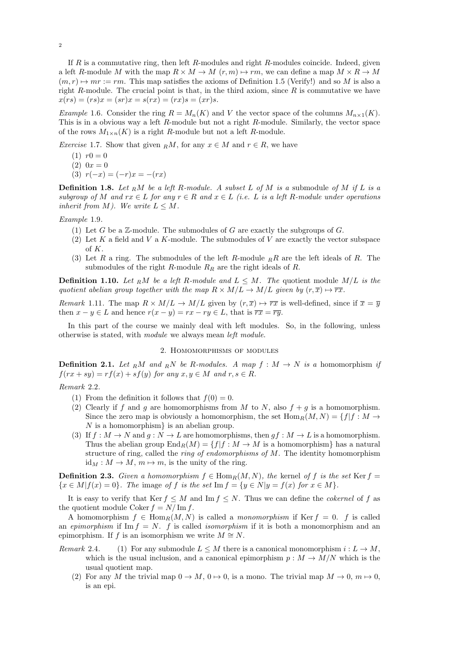If  $R$  is a commutative ring, then left  $R$ -modules and right  $R$ -modules coincide. Indeed, given a left R-module M with the map  $R \times M \to M$   $(r, m) \mapsto rm$ , we can define a map  $M \times R \to M$  $(m, r) \rightarrow mr := rm$ . This map satisfies the axioms of Definition 1.5 (Verify!) and so M is also a right R-module. The crucial point is that, in the third axiom, since  $R$  is commutative we have  $x(rs) = (rs)x = (sr)x = s(rx) = (rx)s = (xr)s.$ 

Example 1.6. Consider the ring  $R = M_n(K)$  and V the vector space of the columns  $M_{n \times 1}(K)$ . This is in a obvious way a left R-module but not a right R-module. Similarly, the vector space of the rows  $M_{1\times n}(K)$  is a right R-module but not a left R-module.

Exercise 1.7. Show that given RM, for any  $x \in M$  and  $r \in R$ , we have

- $(1)$   $r0 = 0$
- $(2) 0x = 0$
- (3)  $r(-x) = (-r)x = -(rx)$

**Definition 1.8.** Let RM be a left R-module. A subset L of M is a submodule of M if L is a subgroup of M and  $rx \in L$  for any  $r \in R$  and  $x \in L$  (i.e. L is a left R-module under operations inherit from M). We write  $L \leq M$ .

Example 1.9.

- (1) Let G be a  $\mathbb{Z}$ -module. The submodules of G are exactly the subgroups of G.
- (2) Let  $K$  a field and  $V$  a  $K$ -module. The submodules of  $V$  are exactly the vector subspace of K.
- (3) Let R a ring. The submodules of the left R-module  $_R R$  are the left ideals of R. The submodules of the right R-module  $R_R$  are the right ideals of R.

**Definition 1.10.** Let RM be a left R-module and  $L \leq M$ . The quotient module  $M/L$  is the quotient abelian group together with the map  $R \times M/L \rightarrow M/L$  given by  $(r, \overline{x}) \mapsto \overline{rx}$ .

*Remark* 1.11. The map  $R \times M/L \rightarrow M/L$  given by  $(r, \overline{x}) \mapsto \overline{rx}$  is well-defined, since if  $\overline{x} = \overline{y}$ then  $x - y \in L$  and hence  $r(x - y) = rx - ry \in L$ , that is  $\overline{rx} = \overline{ry}$ .

In this part of the course we mainly deal with left modules. So, in the following, unless otherwise is stated, with module we always mean left module.

### 2. Homomorphisms of modules

**Definition 2.1.** Let RM and RN be R-modules. A map  $f : M \to N$  is a homomorphism if  $f(rx+sy)=rf(x)+sf(y)$  for any  $x, y \in M$  and  $r, s \in R$ .

# Remark 2.2.

- (1) From the definition it follows that  $f(0) = 0$ .
- (2) Clearly if f and g are homomorphisms from M to N, also  $f + g$  is a homomorphism. Since the zero map is obviously a homomorphism, the set  $\text{Hom}_R(M, N) = \{f | f : M \rightarrow$  $N$  is a homomorphism $\}$  is an abelian group.
- (3) If  $f : M \to N$  and  $g : N \to L$  are homomorphisms, then  $gf : M \to L$  is a homomorphism. Thus the abelian group  $\text{End}_R(M) = \{f | f : M \to M \text{ is a homomorphism}\}\)$  has a natural structure of ring, called the *ring of endomorphisms of M*. The identity homomorphism  $id_M : M \to M$ ,  $m \mapsto m$ , is the unity of the ring.

**Definition 2.3.** Given a homomorphism  $f \in Hom_R(M, N)$ , the kernel of f is the set Ker  $f =$  ${x \in M | f(x) = 0}.$  The image of f is the set Im  $f = {y \in N | y = f(x) \text{ for } x \in M}.$ 

It is easy to verify that Ker  $f \leq M$  and Im  $f \leq N$ . Thus we can define the *cokernel* of f as the quotient module Coker  $f = N/\operatorname{Im} f$ .

A homomorphism  $f \in \text{Hom}_R(M, N)$  is called a monomorphism if Ker  $f = 0$ . f is called an epimorphism if Im  $f = N$ . f is called *isomorphism* if it is both a monomorphism and an epimorphism. If f is an isomorphism we write  $M \cong N$ .

- Remark 2.4. (1) For any submodule  $L \leq M$  there is a canonical monomorphism  $i : L \to M$ . which is the usual inclusion, and a canonical epimorphism  $p : M \to M/N$  which is the usual quotient map.
	- (2) For any M the trivial map  $0 \to M$ ,  $0 \to 0$ , is a mono. The trivial map  $M \to 0$ ,  $m \mapsto 0$ , is an epi.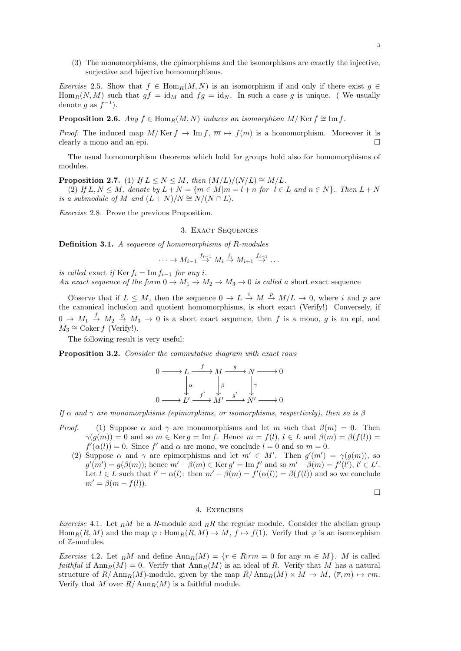(3) The monomorphisms, the epimorphisms and the isomorphisms are exactly the injective, surjective and bijective homomorphisms.

Exercise 2.5. Show that  $f \in \text{Hom}_R(M, N)$  is an isomorphism if and only if there exist  $g \in$  $\text{Hom}_R(N, M)$  such that  $gf = id_M$  and  $fg = id_N$ . In such a case g is unique. (We usually denote g as  $f^{-1}$ ).

**Proposition 2.6.** Any  $f \in \text{Hom}_R(M, N)$  induces an isomorphism  $M/\text{Ker } f \cong \text{Im } f$ .

*Proof.* The induced map  $M/\text{Ker } f \to \text{Im } f, \overline{m} \mapsto f(m)$  is a homomorphism. Moreover it is clearly a mono and an epi.  $\Box$ 

The usual homomorphism theorems which hold for groups hold also for homomorphisms of modules.

**Proposition 2.7.** (1) If  $L \leq N \leq M$ , then  $(M/L)/(N/L) \cong M/L$ . (2) If  $L, N \leq M$ , denote by  $L + N = \{m \in M | m = l + n \text{ for } l \in L \text{ and } n \in N\}$ . Then  $L + N$ is a submodule of M and  $(L+N)/N \cong N/(N \cap L)$ .

Exercise 2.8. Prove the previous Proposition.

3. EXACT SEQUENCES

Definition 3.1. A sequence of homomorphisms of R-modules

$$
\cdots \to M_{i-1} \stackrel{f_{i-1}}{\to} M_i \stackrel{f_i}{\to} M_{i+1} \stackrel{f_{i+1}}{\to} \cdots
$$

is called exact if Ker  $f_i = \text{Im } f_{i-1}$  for any i.

An exact sequence of the form  $0 \to M_1 \to M_2 \to M_3 \to 0$  is called a short exact sequence

Observe that if  $L \leq M$ , then the sequence  $0 \to L \stackrel{i}{\to} M \stackrel{p}{\to} M/L \to 0$ , where i and p are the canonical inclusion and quotient homomorphisms, is short exact (Verify!) Conversely, if  $0 \to M_1 \stackrel{f}{\to} M_2 \stackrel{g}{\to} M_3 \to 0$  is a short exact sequence, then f is a mono, g is an epi, and  $M_3 \cong \text{Coker } f \text{ (Verify!).}$ 

The following result is very useful:

Proposition 3.2. Consider the commutative diagram with exact rows

$$
0 \longrightarrow L \xrightarrow{f} M \xrightarrow{g} N \longrightarrow 0
$$
  
\n
$$
\downarrow^{\alpha} \qquad \qquad \downarrow^{\beta} \qquad \qquad \downarrow^{\gamma}
$$
  
\n
$$
0 \longrightarrow L' \xrightarrow{f'} M' \xrightarrow{g'} N' \longrightarrow 0
$$

If  $\alpha$  and  $\gamma$  are monomorphisms (epimorphims, or isomorphisms, respectively), then so is  $\beta$ 

- *Proof.* (1) Suppose  $\alpha$  and  $\gamma$  are monomorphisms and let m such that  $\beta(m) = 0$ . Then  $\gamma(q(m)) = 0$  and so  $m \in \text{Ker } q = \text{Im } f$ . Hence  $m = f(l)$ ,  $l \in L$  and  $\beta(m) = \beta(f(l)) =$  $f'(\alpha(l)) = 0$ . Since f' and  $\alpha$  are mono, we conclude  $l = 0$  and so  $m = 0$ .
	- (2) Suppose  $\alpha$  and  $\gamma$  are epimorphisms and let  $m' \in M'$ . Then  $g'(m') = \gamma(g(m))$ , so  $g'(m') = g(\beta(m));$  hence  $m' - \beta(m) \in \text{Ker } g' = \text{Im } f'$  and so  $m' - \beta(m) = f'(l'), l' \in L'.$ Let  $l \in L$  such that  $l' = \alpha(l)$ : then  $m' - \beta(m) = f'(\alpha(l)) = \beta(f(l))$  and so we conclude  $m' = \beta(m - f(l)).$

$$
\Box
$$

### 4. Exercises

*Exercise* 4.1. Let  $_R M$  be a R-module and  $_R R$  the regular module. Consider the abelian group  $\text{Hom}_R(R, M)$  and the map  $\varphi : \text{Hom}_R(R, M) \to M$ ,  $f \mapsto f(1)$ . Verify that  $\varphi$  is an isomorphism of Z-modules.

Exercise 4.2. Let RM and define  $\text{Ann}_R(M) = \{r \in R | rm = 0 \text{ for any } m \in M\}$ . M is called *faithful* if  $Ann_R(M) = 0$ . Verify that  $Ann_R(M)$  is an ideal of R. Verify that M has a natural structure of  $R/\text{Ann}_R(M)$ -module, given by the map  $R/\text{Ann}_R(M) \times M \to M$ ,  $(\overline{r}, m) \mapsto rm$ . Verify that M over  $R/\text{Ann}_R(M)$  is a faithful module.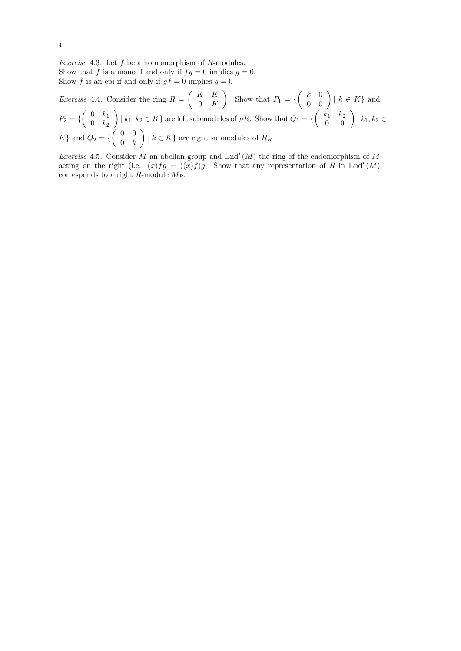*Exercise* 4.3. Let  $f$  be a homomorphism of  $R$ -modules. Show that f is a mono if and only if  $fg = 0$  implies  $g = 0$ . Show f is an epi if and only if  $gf = 0$  implies  $g = 0$ 

*Exercise* 4.4. Consider the ring  $R = \begin{pmatrix} K & K \\ 0 & K \end{pmatrix}$  $0\quad K$ ). Show that  $P_1 = \left\{ \begin{pmatrix} k & 0 \\ 0 & 0 \end{pmatrix} | k \in K \right\}$  and  $P_2 = \{ \begin{pmatrix} 0 & k_1 \\ 0 & k_2 \end{pmatrix}$  $0 \t k_2$  $\Bigg) \mid k_1, k_2 \in K \}$  are left submodules of  $_R R$ . Show that  $Q_1 = \left\{ \begin{pmatrix} k_1 & k_2 \\ 0 & 0 \end{pmatrix} \mid k_1, k_2 \in \mathbb{R} \right\}$  $K$ } and  $Q_2 = \{ \begin{pmatrix} 0 & 0 \\ 0 & h \end{pmatrix}$  $0 \quad k$  $\Big) \mid k \in K \}$  are right submodules of  $R_R$ 

*Exercise* 4.5. Consider M an abelian group and  $\text{End}^r(M)$  the ring of the endomorphism of M acting on the right (i.e.  $(x)fg = ((x)f)g$ . Show that any representation of R in End<sup>r</sup>(M) corresponds to a right  $R$ -module  $M_R$ .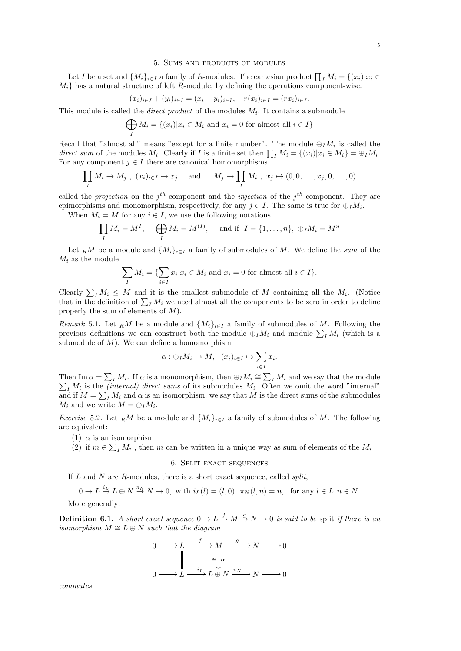#### 5. Sums and products of modules

Let I be a set and  $\{M_i\}_{i\in I}$  a family of R-modules. The cartesian product  $\prod_I M_i = \{(x_i)|x_i \in$  $M_i$  has a natural structure of left R-module, by defining the operations component-wise:

$$
(x_i)_{i \in I} + (y_i)_{i \in I} = (x_i + y_i)_{i \in I}, \quad r(x_i)_{i \in I} = (rx_i)_{i \in I}.
$$

This module is called the *direct product* of the modules  $M_i$ . It contains a submodule

$$
\bigoplus_{I} M_{i} = \{(x_{i}) | x_{i} \in M_{i} \text{ and } x_{i} = 0 \text{ for almost all } i \in I\}
$$

Recall that "almost all" means "except for a finite number". The module  $\bigoplus_I M_i$  is called the direct sum of the modules  $M_i$ . Clearly if I is a finite set then  $\prod_I M_i = \{(x_i)|x_i \in M_i\} = \bigoplus_I M_i$ . For any component  $j \in I$  there are canonical homomorphisms

$$
\prod_I M_i \to M_j, \ (x_i)_{i \in I} \mapsto x_j \quad \text{and} \quad M_j \to \prod_I M_i, \ x_j \mapsto (0, 0, \dots, x_j, 0, \dots, 0)
$$

called the *projection* on the  $j<sup>th</sup>$ -component and the *injection* of the  $j<sup>th</sup>$ -component. They are epimorphisms and monomorphism, respectively, for any  $j \in I$ . The same is true for  $\bigoplus_I M_i$ .

When  $M_i = M$  for any  $i \in I$ , we use the following notations

$$
\prod_I M_i = M^I, \quad \bigoplus_I M_i = M^{(I)}, \quad \text{and if} \quad I = \{1, \dots, n\}, \ \oplus_I M_i = M^n
$$

Let RM be a module and  $\{M_i\}_{i\in I}$  a family of submodules of M. We define the sum of the  $M_i$  as the module

$$
\sum_{I} M_i = \{ \sum_{i \in I} x_i | x_i \in M_i \text{ and } x_i = 0 \text{ for almost all } i \in I \}.
$$

Clearly  $\sum_{I} M_i \leq M$  and it is the smallest submodule of M containing all the  $M_i$ . (Notice that in the definition of  $\sum_{I} M_i$  we need almost all the components to be zero in order to define properly the sum of elements of M).

Remark 5.1. Let RM be a module and  $\{M_i\}_{i\in I}$  a family of submodules of M. Following the previous definitions we can construct both the module  $\bigoplus_I M_i$  and module  $\sum_I M_i$  (which is a submodule of  $M$ ). We can define a homomorphism

$$
\alpha: \oplus_I M_i \to M, \quad (x_i)_{i \in I} \mapsto \sum_{i \in I} x_i.
$$

Then Im  $\alpha = \sum_{I} M_i$ . If  $\alpha$  is a monomorphism, then  $\bigoplus_{I} M_i \cong \sum_{I}$  $\sum$  $I M_i$  and we say that the module  $I_i$  M<sub>i</sub> is the *(internal) direct sums* of its submodules  $M_i$ . Often we omit the word "internal" and if  $M = \sum_{I} M_i$  and  $\alpha$  is an isomorphism, we say that M is the direct sums of the submodules  $M_i$  and we write  $M = \bigoplus_I M_i$ .

*Exercise* 5.2. Let RM be a module and  $\{M_i\}_{i\in I}$  a family of submodules of M. The following are equivalent:

- (1)  $\alpha$  is an isomorphism
- (2) if  $m \in \sum_l M_i$ , then m can be written in a unique way as sum of elements of the  $M_i$

## 6. Split exact sequences

If  $L$  and  $N$  are  $R$ -modules, there is a short exact sequence, called *split*,

$$
0 \to L \stackrel{i_L}{\to} L \oplus N \stackrel{\pi_N}{\to} N \to 0, \text{ with } i_L(l) = (l, 0) \quad \pi_N(l, n) = n, \text{ for any } l \in L, n \in N.
$$

More generally:

**Definition 6.1.** A short exact sequence  $0 \to L \stackrel{f}{\to} M \stackrel{g}{\to} N \to 0$  is said to be split if there is an isomorphism  $M \cong L \oplus N$  such that the diagram

$$
0 \longrightarrow L \xrightarrow{f} M \xrightarrow{g} N \longrightarrow 0
$$

$$
\parallel \xrightarrow{\cong} \downarrow^{\alpha} \parallel
$$

$$
0 \longrightarrow L \xrightarrow{i_L} L \oplus N \xrightarrow{\pi_N} N \longrightarrow 0
$$

commutes.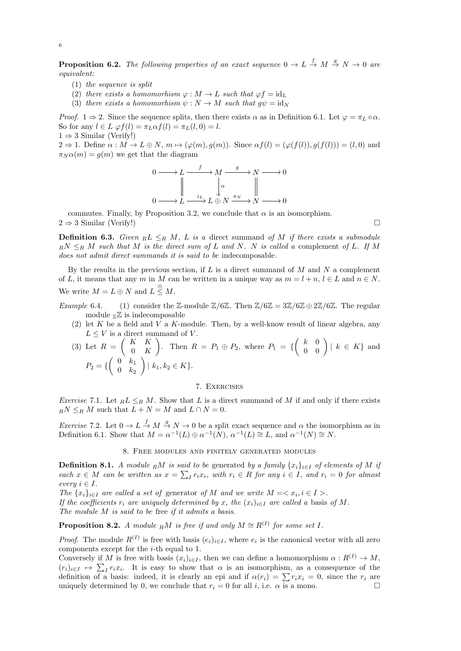**Proposition 6.2.** The following properties of an exact sequence  $0 \to L \stackrel{f}{\to} M \stackrel{g}{\to} N \to 0$  are equivalent:

- $(1)$  the sequence is split
- (2) there exists a homomorhism  $\varphi : M \to L$  such that  $\varphi f = id_L$
- (3) there exists a homomorhism  $\psi : N \to M$  such that  $q\psi = id_N$

*Proof.* 1  $\Rightarrow$  2. Since the sequence splits, then there exists  $\alpha$  as in Definition 6.1. Let  $\varphi = \pi_L \circ \alpha$ . So for any  $l \in L \varphi f(l) = \pi_L \alpha f(l) = \pi_L(l, 0) = l$ .  $1 \Rightarrow 3$  Similar (Verify!)

 $2 \Rightarrow 1$ . Define  $\alpha : M \to L \oplus N$ ,  $m \mapsto (\varphi(m), q(m))$ . Since  $\alpha f(l) = (\varphi(f(l)), q(f(l))) = (l, 0)$  and  $\pi_N \alpha(m) = q(m)$  we get that the diagram

$$
0 \longrightarrow L \xrightarrow{f} M \xrightarrow{g} N \longrightarrow 0
$$
  

$$
\downarrow \alpha \qquad \qquad \downarrow \alpha
$$
  

$$
0 \longrightarrow L \xrightarrow{i_L} L \oplus N \xrightarrow{\pi_N} N \longrightarrow 0
$$

commutes. Finally, by Proposition 3.2, we conclude that  $\alpha$  is an isomorphism.  $2 \Rightarrow 3$  Similar (Verify!)

**Definition 6.3.** Given  $R L \leq_R M$ , L is a direct summand of M if there exists a submodule  $\mathbb{R}^N \leq_{\mathbb{R}} M$  such that M is the direct sum of L and N. N is called a complement of L. If M does not admit direct summands it is said to be indecomposable.

By the results in the previous section, if  $L$  is a direct summand of  $M$  and  $N$  a complement of L, it means that any m in M can be written in a unique way as  $m = l + n$ ,  $l \in L$  and  $n \in N$ . We write  $M = L \oplus N$  and  $L \stackrel{\oplus}{\leq} M$ .

- Example 6.4. (1) consider the Z-module  $\mathbb{Z}/6\mathbb{Z}$ . Then  $\mathbb{Z}/6\mathbb{Z} = 3\mathbb{Z}/6\mathbb{Z} \oplus 2\mathbb{Z}/6\mathbb{Z}$ . The regular module  $\mathbb{Z}$  is indecomposable
	- (2) let K be a field and V a K-module. Then, by a well-know result of linear algebra, any  $L \leq V$  is a direct summand of V.

(3) Let 
$$
R = \begin{pmatrix} K & K \ 0 & K \end{pmatrix}
$$
. Then  $R = P_1 \oplus P_2$ , where  $P_1 = \left\{ \begin{pmatrix} k & 0 \ 0 & 0 \end{pmatrix} | k \in K \right\}$  and  $P_2 = \left\{ \begin{pmatrix} 0 & k_1 \ 0 & k_2 \end{pmatrix} | k_1, k_2 \in K \right\}$ .

# 7. Exercises

Exercise 7.1. Let  $_R L \leq_R M$ . Show that L is a direct summand of M if and only if there exists  $_RN \leq_R M$  such that  $L + N = M$  and  $L \cap N = 0$ .

*Exercise* 7.2. Let  $0 \to L \xrightarrow{f} M \xrightarrow{g} N \to 0$  be a split exact sequence and  $\alpha$  the isomorphism as in Definition 6.1. Show that  $M = \alpha^{-1}(L) \oplus \alpha^{-1}(N)$ ,  $\alpha^{-1}(L) \cong L$ , and  $\alpha^{-1}(N) \cong N$ .

# 8. Free modules and finitely generated modules

**Definition 8.1.** A module RM is said to be generated by a family  $\{x_i\}_{i\in I}$  of elements of M if each  $x \in M$  can be written as  $x = \sum_{I} r_i x_i$ , with  $r_i \in R$  for any  $i \in I$ , and  $r_i = 0$  for almost every  $i \in I$ .

The  $\{x_i\}_{i\in I}$  are called a set of generator of M and we write  $M = \langle x_i, i \in I \rangle$ . If the coefficients  $r_i$  are uniquely determined by x, the  $(x_i)_{i\in I}$  are called a basis of M. The module M is said to be free if it admits a basis.

**Proposition 8.2.** A module  $\mathbb{R}^M$  is free if and only  $M \cong \mathbb{R}^{(1)}$  for some set I.

*Proof.* The module  $R^{(I)}$  is free with basis  $(e_i)_{i \in I}$ , where  $e_i$  is the canonical vector with all zero components except for the i-th equal to 1.

Conversely if M is free with basis  $(x_i)_{i\in I}$ , then we can define a homomorphism  $\alpha: R^{(I)} \to M$ ,  $(r_i)_{i\in I} \mapsto \sum_I r_i x_i$ . It is easy to show that  $\alpha$  is an isomorphism, as a consequence of the definition of a basis: indeed, it is clearly an epi and if  $\alpha(r_i) = \sum r_i x_i = 0$ , since the  $r_i$  are uniquely determined by 0, we conclude that  $r_i = 0$  for all i, i.e.  $\alpha$  is a mono.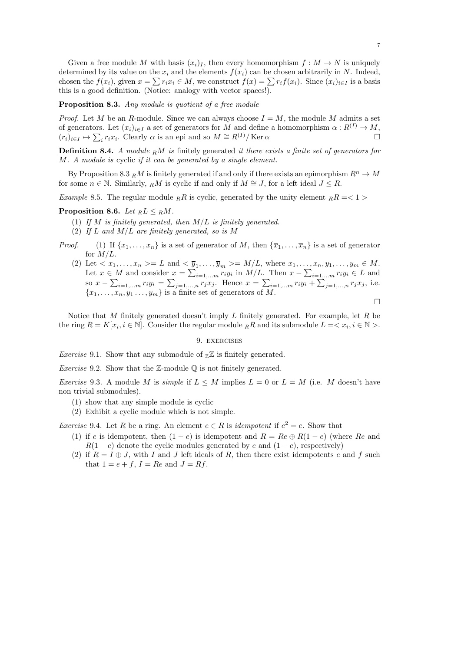Given a free module M with basis  $(x_i)_I$ , then every homomorphism  $f : M \to N$  is uniquely determined by its value on the  $x_i$  and the elements  $f(x_i)$  can be chosen arbitrarily in N. Indeed, chosen the  $f(x_i)$ , given  $x = \sum r_i x_i \in M$ , we construct  $f(x) = \sum r_i f(x_i)$ . Since  $(x_i)_{i \in I}$  is a basis this is a good definition. (Notice: analogy with vector spaces!).

Proposition 8.3. Any module is quotient of a free module

*Proof.* Let M be an R-module. Since we can always choose  $I = M$ , the module M admits a set of generators. Let  $(x_i)_{i\in I}$  a set of generators for M and define a homomorphism  $\alpha: R^{(I)} \to M$ ,  $(r_i)_{i\in I} \mapsto \sum_i r_i x_i$ . Clearly  $\alpha$  is an epi and so  $M \cong R^{(I)} / \text{Ker }\alpha$ 

**Definition 8.4.** A module  $\mathbb{R}^M$  is finitely generated it there exists a finite set of generators for M. A module is cyclic if it can be generated by a single element.

By Proposition 8.3 RM is finitely generated if and only if there exists an epimorphism  $R^n \to M$ for some  $n \in \mathbb{N}$ . Similarly, RM is cyclic if and only if  $M \cong J$ , for a left ideal  $J \leq R$ .

Example 8.5. The regular module  $_R R$  is cyclic, generated by the unity element  $_R R = 1$ 

## Proposition 8.6. Let  $_R L \leq_R M$ .

- (1) If  $M$  is finitely generated, then  $M/L$  is finitely generated.
- (2) If L and  $M/L$  are finitely generated, so is M
- *Proof.* (1) If  $\{x_1, \ldots, x_n\}$  is a set of generator of M, then  $\{\overline{x}_1, \ldots, \overline{x}_n\}$  is a set of generator for  $M/L$ .
	- (2) Let  $\langle x_1,\ldots,x_n\rangle=L$  and  $\langle \overline{y}_1,\ldots,\overline{y}_m\rangle=M/L$ , where  $x_1,\ldots,x_n,y_1,\ldots,y_m\in M$ . Let  $x \in M$  and consider  $\overline{x} = \sum_{i=1,...m} r_i \overline{y_i}$  in  $M/L$ . Then  $x - \sum_{i=1,...m} r_i y_i \in L$  and so  $x - \sum_{i=1,...m} r_i y_i = \sum_{j=1,...,n} r_j x_j$ . Hence  $x = \sum_{i=1,...m} r_i y_i + \sum_{j=1,...,n} r_j x_j$ , i.e.  ${x_1, \ldots, x_n, y_1 \ldots, y_m}$  is a finite set of generators of M.  $\Box$

Notice that M finitely generated doesn't imply  $L$  finitely generated. For example, let  $R$  be the ring  $R = K[x_i, i \in \mathbb{N}]$ . Consider the regular module  $_R R$  and its submodule  $L = \langle x_i, i \in \mathbb{N} \rangle$ .

### 9. exercises

*Exercise* 9.1. Show that any submodule of  $Z\mathbb{Z}$  is finitely generated.

*Exercise* 9.2. Show that the Z-module  $\mathbb{O}$  is not finitely generated.

*Exercise* 9.3. A module M is *simple* if  $L \leq M$  implies  $L = 0$  or  $L = M$  (i.e. M doesn't have non trivial submodules).

- (1) show that any simple module is cyclic
- (2) Exhibit a cyclic module which is not simple.

*Exercise* 9.4. Let R be a ring. An element  $e \in R$  is *idempotent* if  $e^2 = e$ . Show that

- (1) if e is idempotent, then  $(1-e)$  is idempotent and  $R = Re \oplus R(1-e)$  (where Re and  $R(1-e)$  denote the cyclic modules generated by e and  $(1-e)$ , respectively)
- (2) if  $R = I \oplus J$ , with I and J left ideals of R, then there exist idempotents e and f such that  $1 = e + f$ ,  $I = Re$  and  $J = Rf$ .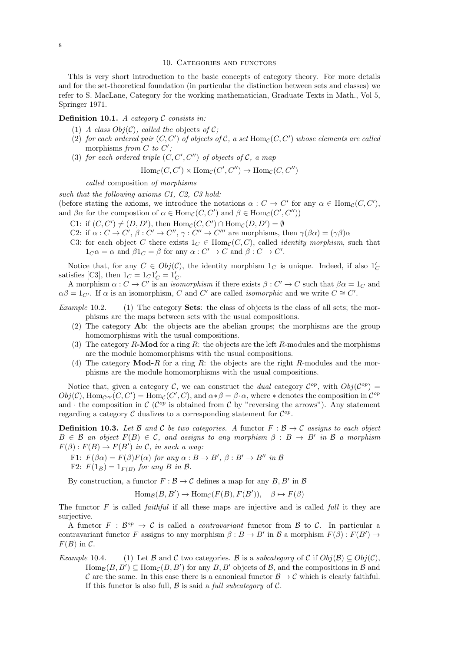## 10. CATEGORIES AND FUNCTORS

This is very short introduction to the basic concepts of category theory. For more details and for the set-theoretical foundation (in particular the distinction between sets and classes) we refer to S. MacLane, Category for the working mathematician, Graduate Texts in Math., Vol 5, Springer 1971.

## **Definition 10.1.** A category  $C$  consists in:

- (1) A class  $Obj(\mathcal{C})$ , called the objects of  $\mathcal{C}$ ;
- (2) for each ordered pair  $(C, C')$  of objects of  $\mathcal{C}$ , a set  $\text{Hom}_{\mathcal{C}}(C, C')$  whose elements are called morphisms from C to  $C'$ ;
- (3) for each ordered triple  $(C, C', C'')$  of objects of  $\mathcal{C}$ , a map

$$
Hom_{\mathcal{C}}(C, C') \times Hom_{\mathcal{C}}(C', C'') \to Hom_{\mathcal{C}}(C, C'')
$$

called composition of morphisms

such that the following axioms C1, C2, C3 hold:

(before stating the axioms, we introduce the notations  $\alpha: C \to C'$  for any  $\alpha \in \text{Hom}_{\mathcal{C}}(C, C'),$ and  $\beta\alpha$  for the compostion of  $\alpha \in \text{Hom}_{\mathcal{C}}(C, C')$  and  $\beta \in \text{Hom}_{\mathcal{C}}(C', C'')$ )

- C1: if  $(C, C') \neq (D, D')$ , then  $\text{Hom}_{\mathcal{C}}(C, C') \cap \text{Hom}_{\mathcal{C}}(D, D') = \emptyset$
- C2: if  $\alpha: C \to C', \beta: C' \to C'', \gamma: C'' \to C'''$  are morphisms, then  $\gamma(\beta \alpha) = (\gamma \beta) \alpha$
- C3: for each object C there exists  $1_C \in \text{Hom}_C(C, C)$ , called *identity morphism*, such that  $1_C \alpha = \alpha$  and  $\beta 1_C = \beta$  for any  $\alpha : C' \to C$  and  $\beta : C \to C'$ .

Notice that, for any  $C \in Obj(\mathcal{C})$ , the identity morphism  $1_C$  is unique. Indeed, if also  $1'_C$ satisfies [C3], then  $1_C = 1_C 1'_C = 1'_C$ .

A morphism  $\alpha: C \to C'$  is an *isomorphism* if there exists  $\beta: C' \to C$  such that  $\beta \alpha = 1_C$  and  $\alpha\beta = 1_{C'}$ . If  $\alpha$  is an isomorphism, C and C' are called *isomorphic* and we write  $C \cong C'$ .

- Example 10.2. (1) The category **Sets**: the class of objects is the class of all sets; the morphisms are the maps between sets with the usual compositions.
	- (2) The category Ab: the objects are the abelian groups; the morphisms are the group homomorphisms with the usual compositions.
	- (3) The category R-Mod for a ring R: the objects are the left R-modules and the morphisms are the module homomorphisms with the usual compositions.
	- (4) The category  $\text{Mod-}R$  for a ring R: the objects are the right R-modules and the morphisms are the module homomorphisms with the usual compositions.

Notice that, given a category C, we can construct the *dual* category  $\mathcal{C}^{op}$ , with  $Obj(\mathcal{C}^{op}) =$  $Obj(\mathcal{C}), \text{Hom}_{\mathcal{C}^{op}}(C, C') = \text{Hom}_{\mathcal{C}}(C', C), \text{ and } \alpha * \beta = \beta \cdot \alpha, \text{ where } * \text{ denotes the composition in } \mathcal{C}^{op}$ and  $\cdot$  the composition in  $\mathcal{C}$  ( $\mathcal{C}^{op}$  is obtained from  $\mathcal{C}$  by "reversing the arrows"). Any statement regarding a category  $\mathcal C$  dualizes to a corresponding statement for  $\mathcal C^{op}$ .

**Definition 10.3.** Let B and C be two categories. A functor  $F : \mathcal{B} \to \mathcal{C}$  assigns to each object  $B \in \mathcal{B}$  an object  $F(B) \in \mathcal{C}$ , and assigns to any morphism  $\beta : B \to B'$  in  $\mathcal{B}$  a morphism  $F(\beta): F(B) \to F(B')$  in C, in such a way:

F1:  $F(\beta \alpha) = F(\beta)F(\alpha)$  for any  $\alpha : B \to B'$ ,  $\beta : B' \to B''$  in B F2:  $F(1_B) = 1_{F(B)}$  for any B in B.

By construction, a functor  $F : \mathcal{B} \to \mathcal{C}$  defines a map for any  $B, B'$  in  $\mathcal{B}$ 

$$
\text{Hom}_{\mathcal{B}}(B, B') \to \text{Hom}_{\mathcal{C}}(F(B), F(B')), \quad \beta \mapsto F(\beta)
$$

The functor  $F$  is called *faithful* if all these maps are injective and is called *full* it they are surjective.

A functor  $F : \mathcal{B}^{op} \to \mathcal{C}$  is called a *contravariant* functor from  $\mathcal{B}$  to  $\mathcal{C}$ . In particular a contravariant functor F assigns to any morphism  $\beta : B \to B'$  in B a morphism  $F(\beta) : F(B') \to$  $F(B)$  in C.

Example 10.4. (1) Let B and C two categories. B is a subcategory of C if  $Obj(\mathcal{B}) \subseteq Obj(\mathcal{C})$ ,  $\text{Hom}_{\mathcal{B}}(B, B') \subseteq \text{Hom}_{\mathcal{C}}(B, B')$  for any  $B, B'$  objects of  $\mathcal{B}$ , and the compositions in  $\mathcal{B}$  and C are the same. In this case there is a canonical functor  $\mathcal{B} \to \mathcal{C}$  which is clearly faithful. If this functor is also full,  $\beta$  is said a *full subcategory* of  $\mathcal{C}$ .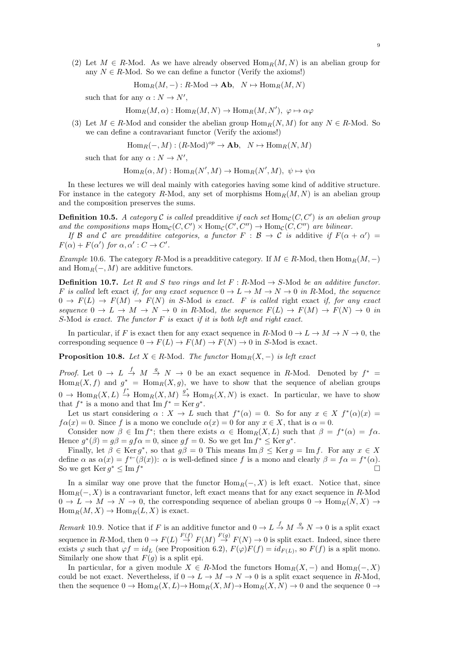(2) Let  $M \in R$ -Mod. As we have already observed  $\text{Hom}_R(M, N)$  is an abelian group for any  $N \in R$ -Mod. So we can define a functor (Verify the axioms!)

 $\text{Hom}_R(M, -): R\text{-Mod} \to \text{Ab}, N \mapsto \text{Hom}_R(M, N)$ 

such that for any  $\alpha : N \to N'$ ,

$$
\text{Hom}_R(M,\alpha): \text{Hom}_R(M,N) \to \text{Hom}_R(M,N'), \; \varphi \mapsto \alpha \varphi
$$

(3) Let  $M \in R$ -Mod and consider the abelian group  $\text{Hom}_{R}(N, M)$  for any  $N \in R$ -Mod. So we can define a contravariant functor (Verify the axioms!)

$$
\operatorname{Hom}_R(-,M) : (R\text{-Mod})^{op} \to \mathbf{Ab}, \quad N \mapsto \operatorname{Hom}_R(N,M)
$$

such that for any  $\alpha : N \to N'$ ,

 $\text{Hom}_R(\alpha, M) : \text{Hom}_R(N', M) \to \text{Hom}_R(N', M), \ \psi \mapsto \psi \alpha$ 

In these lectures we will deal mainly with categories having some kind of additive structure. For instance in the category R-Mod, any set of morphisms  $\text{Hom}_R(M, N)$  is an abelian group and the composition preserves the sums.

**Definition 10.5.** A category C is called preadditive if each set  $Hom_{\mathcal{C}}(C, C')$  is an abelian group and the compositions maps  $\text{Hom}_{\mathcal{C}}(C, C') \times \text{Hom}_{\mathcal{C}}(C', C'') \to \text{Hom}_{\mathcal{C}}(C, C'')$  are bilinear.

If B and C are preadditive categories, a functor  $F : B \to C$  is additive if  $F(\alpha + \alpha') =$  $F(\alpha) + F(\alpha')$  for  $\alpha, \alpha' : C \to C'$ .

Example 10.6. The category R-Mod is a preadditive category. If  $M \in R$ -Mod, then  $\text{Hom}_R(M, -)$ and  $\text{Hom}_R(-, M)$  are additive functors.

**Definition 10.7.** Let R and S two rings and let  $F : R\text{-Mod} \to S\text{-Mod}$  be an additive functor. F is called left exact if, for any exact sequence  $0 \to L \to M \to N \to 0$  in R-Mod, the sequence  $0 \to F(L) \to F(M) \to F(N)$  in S-Mod is exact. F is called right exact if, for any exact sequence  $0 \to L \to M \to N \to 0$  in R-Mod, the sequence  $F(L) \to F(M) \to F(N) \to 0$  in S-Mod is exact. The functor  $F$  is exact if it is both left and right exact.

In particular, if F is exact then for any exact sequence in R-Mod  $0 \to L \to M \to N \to 0$ , the corresponding sequence  $0 \to F(L) \to F(M) \to F(N) \to 0$  in S-Mod is exact.

**Proposition 10.8.** Let  $X \in R$ -Mod. The functor  $\text{Hom}_R(X, -)$  is left exact

*Proof.* Let  $0 \to L \stackrel{f}{\to} M \stackrel{g}{\to} N \to 0$  be an exact sequence in R-Mod. Denoted by  $f^* =$  $\text{Hom}_R(X, f)$  and  $g^* = \text{Hom}_R(X, g)$ , we have to show that the sequence of abelian groups  $0 \to \text{Hom}_R(X, L) \stackrel{f^*}{\to} \text{Hom}_R(X, M) \stackrel{g^*}{\to} \text{Hom}_R(X, N)$  is exact. In particular, we have to show that  $f^*$  is a mono and that  $\text{Im } f^* = \text{Ker } g^*$ .

Let us start considering  $\alpha : X \to L$  such that  $f^*(\alpha) = 0$ . So for any  $x \in X$   $f^*(\alpha)(x) =$  $f\alpha(x) = 0$ . Since f is a mono we conclude  $\alpha(x) = 0$  for any  $x \in X$ , that is  $\alpha = 0$ .

Consider now  $\beta \in \text{Im } f^*$ ; then there exists  $\alpha \in \text{Hom}_R(X, L)$  such that  $\beta = f^*(\alpha) = f\alpha$ . Hence  $g^*(\beta) = g\beta = gf\alpha = 0$ , since  $gf = 0$ . So we get Im  $f^* \leq \text{Ker } g^*$ .

Finally, let  $\beta \in \text{Ker } g^*$ , so that  $g\beta = 0$  This means  $\text{Im } \beta \leq \text{Ker } g = \text{Im } f$ . For any  $x \in X$ define  $\alpha$  as  $\alpha(x) = f^{\leftarrow}(\beta(x))$ :  $\alpha$  is well-defined since f is a mono and clearly  $\beta = f\alpha = f^{\ast}(\alpha)$ . So we get  $\text{Ker } g^* \leq \text{Im } f$ <sup>∗</sup>

In a similar way one prove that the functor  $\text{Hom}_R(-, X)$  is left exact. Notice that, since  $\text{Hom}_R(-, X)$  is a contravariant functor, left exact means that for any exact sequence in R-Mod  $0 \to L \to M \to N \to 0$ , the corresponding sequence of abelian groups  $0 \to \text{Hom}_R(N, X) \to$  $Hom_R(M, X) \to Hom_R(L, X)$  is exact.

*Remark* 10.9. Notice that if F is an additive functor and  $0 \to L \stackrel{f}{\to} M \stackrel{g}{\to} N \to 0$  is a split exact sequence in R-Mod, then  $0 \to F(L) \stackrel{F(f)}{\to} F(M) \stackrel{F(g)}{\to} F(N) \to 0$  is split exact. Indeed, since there exists  $\varphi$  such that  $\varphi f = id_L$  (see Proposition 6.2),  $F(\varphi)F(f) = id_{F(L)}$ , so  $F(f)$  is a split mono. Similarly one show that  $F(g)$  is a split epi.

In particular, for a given module  $X \in R$ -Mod the functors  $\text{Hom}_{R}(X, -)$  and  $\text{Hom}_{R}(-, X)$ could be not exact. Nevertheless, if  $0 \to L \to M \to N \to 0$  is a split exact sequence in R-Mod, then the sequence  $0 \to \text{Hom}_R(X, L) \to \text{Hom}_R(X, M) \to \text{Hom}_R(X, N) \to 0$  and the sequence  $0 \to$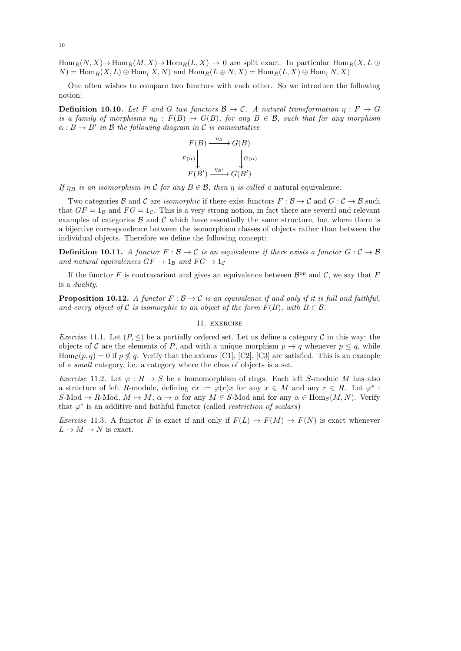$\text{Hom}_R(N, X) \to \text{Hom}_R(M, X) \to \text{Hom}_R(L, X) \to 0$  are split exact. In particular  $\text{Hom}_R(X, L \oplus$  $N$  = Hom<sub>R</sub> $(X, L) \oplus$  Hom<sub>(</sub>X, N) and Hom<sub>R</sub> $(L \oplus N, X)$  = Hom<sub>R</sub> $(L, X) \oplus$  Hom<sub>(</sub>N, X)

One often wishes to compare two functors with each other. So we introduce the following notion:

**Definition 10.10.** Let F and G two functors  $\mathcal{B} \to \mathcal{C}$ . A natural transformation  $\eta : F \to G$ is a family of morphisms  $\eta_B : F(B) \to G(B)$ , for any  $B \in \mathcal{B}$ , such that for any morphism  $\alpha: B \to B'$  in B the following diagram in C is commutative

$$
F(B) \xrightarrow{\eta_B} G(B)
$$
  

$$
F(\alpha) \downarrow \qquad \qquad G(\alpha)
$$
  

$$
F(B') \xrightarrow{\eta_{B'}} G(B')
$$

If  $\eta_B$  is an isomorphism in C for any  $B \in \mathcal{B}$ , then  $\eta$  is called a natural equivalence.

Two categories B and C are *isomorphic* if there exist functors  $F : \mathcal{B} \to \mathcal{C}$  and  $G : \mathcal{C} \to \mathcal{B}$  such that  $GF = 1_B$  and  $FG = 1_C$ . This is a very strong notion, in fact there are several and relevant examples of categories  $\beta$  and  $\beta$  which have essentially the same structure, but where there is a bijective correspondence between the isomorphism classes of objects rather than between the individual objects. Therefore we define the following concept:

**Definition 10.11.** A functor  $F : \mathcal{B} \to \mathcal{C}$  is an equivalence if there exists a functor  $G : \mathcal{C} \to \mathcal{B}$ and natural equivalences  $GF \rightarrow 1_B$  and  $FG \rightarrow 1_C$ 

If the functor F is contravariant and gives an equivalence between  $\mathcal{B}^{op}$  and C, we say that F is a duality.

**Proposition 10.12.** A functor  $F : \mathcal{B} \to \mathcal{C}$  is an equivalence if and only if it is full and faithful, and every object of C is isomorphic to an object of the form  $F(B)$ , with  $B \in \mathcal{B}$ .

#### 11. exercise

*Exercise* 11.1. Let  $(P, \leq)$  be a partially ordered set. Let us define a category C in this way: the objects of C are the elements of P, and with a unique morphism  $p \to q$  whenever  $p \leq q$ , while  $\text{Hom}_{\mathcal{C}}(p,q) = 0$  if  $p \nleq q$ . Verify that the axioms [C1], [C2], [C3] are satisfied. This is an example of a small category, i.e. a category where the class of objects is a set.

*Exercise* 11.2. Let  $\varphi : R \to S$  be a homomorphism of rings. Each left S-module M has also a structure of left R-module, defining  $rx := \varphi(r)x$  for any  $x \in M$  and any  $r \in R$ . Let  $\varphi^*$ :  $S\text{-Mod} \to R\text{-Mod}, M \mapsto M, \alpha \mapsto \alpha$  for any  $M \in S\text{-Mod}$  and for any  $\alpha \in \text{Hom}_S(M, N)$ . Verify that  $\varphi^*$  is an additive and faithful functor (called *restriction of scalars*)

Exercise 11.3. A functor F is exact if and only if  $F(L) \to F(M) \to F(N)$  is exact whenever  $L \to M \to N$  is exact.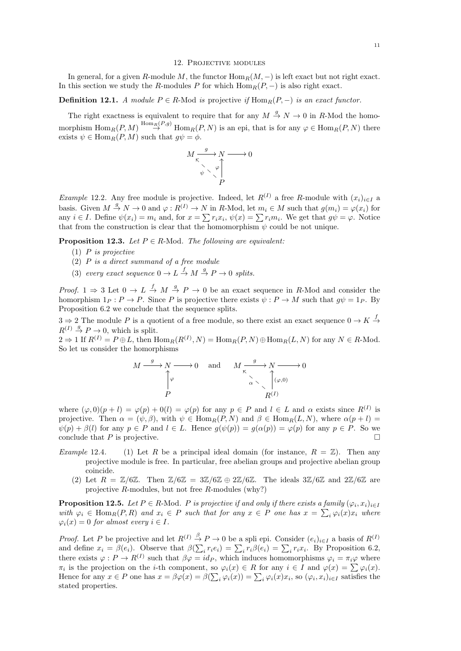#### 12. Projective modules

In general, for a given R-module M, the functor  $\text{Hom}_R(M, -)$  is left exact but not right exact. In this section we study the R-modules P for which  $\text{Hom}_R(P, -)$  is also right exact.

# **Definition 12.1.** A module  $P \in R$ -Mod is projective if  $\text{Hom}_R(P, -)$  is an exact functor.

The right exactness is equivalent to require that for any  $M \stackrel{g}{\rightarrow} N \rightarrow 0$  in R-Mod the homomorphism  $\text{Hom}_R(P,M) \stackrel{\text{Hom}_R(P,g)}{\to} \text{Hom}_R(P,N)$  is an epi, that is for any  $\varphi \in \text{Hom}_R(P,N)$  there exists  $\psi \in \text{Hom}_R(P, M)$  such that  $g\psi = \phi$ .



Example 12.2. Any free module is projective. Indeed, let  $R^{(I)}$  a free R-module with  $(x_i)_{i\in I}$  a basis. Given  $M \stackrel{g}{\to} N \to 0$  and  $\varphi : R^{(1)} \to N$  in R-Mod, let  $m_i \in M$  such that  $g(m_i) = \varphi(x_i)$  for any  $i \in I$ . Define  $\psi(x_i) = m_i$  and, for  $x = \sum r_i x_i$ ,  $\psi(x) = \sum r_i m_i$ . We get that  $g\psi = \varphi$ . Notice that from the construction is clear that the homomorphism  $\psi$  could be not unique.

**Proposition 12.3.** Let  $P \in R$ -Mod. The following are equivalent:

- $(1)$  P is projective
- (2) P is a direct summand of a free module
- (3) every exact sequence  $0 \to L \xrightarrow{f} M \xrightarrow{g} P \to 0$  splits.

*Proof.* 1  $\Rightarrow$  3 Let  $0 \to L \stackrel{f}{\to} M \stackrel{g}{\to} P \to 0$  be an exact sequence in R-Mod and consider the homorphism  $1_P : P \to P$ . Since P is projective there exists  $\psi : P \to M$  such that  $g\psi = 1_P$ . By Proposition 6.2 we conclude that the sequence splits.

 $3 \Rightarrow 2$  The module P is a quotient of a free module, so there exist an exact sequence  $0 \to K \stackrel{f}{\to}$  $R^{(I)} \stackrel{g}{\rightarrow} P \rightarrow 0$ , which is split.

 $2 \Rightarrow 1$  If  $R^{(I)} = P \oplus L$ , then  $\text{Hom}_R(R^{(I)}, N) = \text{Hom}_R(P, N) \oplus \text{Hom}_R(L, N)$  for any  $N \in R$ -Mod. So let us consider the homorphisms

$$
M \xrightarrow{g} N \longrightarrow 0 \quad \text{and} \quad M \xrightarrow{\sigma} N \longrightarrow 0
$$
  
\n
$$
\uparrow \varphi
$$
  
\n
$$
\uparrow \varphi
$$
  
\n
$$
\uparrow \varphi
$$
  
\n
$$
\uparrow \varphi
$$
  
\n
$$
\uparrow \varphi
$$
  
\n
$$
\uparrow \varphi
$$
  
\n
$$
\uparrow \varphi
$$
  
\n
$$
\uparrow \varphi
$$
  
\n
$$
\uparrow \varphi
$$
  
\n
$$
\uparrow \varphi
$$
  
\n
$$
\uparrow \varphi
$$
  
\n
$$
\uparrow \varphi
$$

where  $(\varphi, 0)(p + l) = \varphi(p) + 0(l) = \varphi(p)$  for any  $p \in P$  and  $l \in L$  and  $\alpha$  exists since  $R^{(I)}$  is projective. Then  $\alpha = (\psi, \beta)$ , with  $\psi \in \text{Hom}_{R}(P, N)$  and  $\beta \in \text{Hom}_{R}(L, N)$ , where  $\alpha(p+l)$  $\psi(p) + \beta(l)$  for any  $p \in P$  and  $l \in L$ . Hence  $g(\psi(p)) = g(\alpha(p)) = \varphi(p)$  for any  $p \in P$ . So we conclude that  $P$  is projective.

- Example 12.4. (1) Let R be a principal ideal domain (for instance,  $R = \mathbb{Z}$ ). Then any projective module is free. In particular, free abelian groups and projective abelian group coincide.
	- (2) Let  $R = \mathbb{Z}/6\mathbb{Z}$ . Then  $\mathbb{Z}/6\mathbb{Z} = 3\mathbb{Z}/6\mathbb{Z} \oplus 2\mathbb{Z}/6\mathbb{Z}$ . The ideals  $3\mathbb{Z}/6\mathbb{Z}$  and  $2\mathbb{Z}/6\mathbb{Z}$  are projective R-modules, but not free R-modules (why?)

**Proposition 12.5.** Let  $P \in R$ -Mod. P is projective if and only if there exists a family  $(\varphi_i, x_i)_{i \in I}$ with  $\varphi_i \in \text{Hom}_R(P, R)$  and  $x_i \in P$  such that for any  $x \in P$  one has  $x = \sum_i \varphi_i(x) x_i$  where  $\varphi_i(x) = 0$  for almost every  $i \in I$ .

*Proof.* Let P be projective and let  $R^{(I)} \stackrel{\beta}{\to} P \to 0$  be a spli epi. Consider  $(e_i)_{i \in I}$  a basis of  $R^{(I)}$ and define  $x_i = \beta(e_i)$ . Observe that  $\beta(\sum_i r_i e_i) = \sum_i r_i \beta(e_i) = \sum_i r_i x_i$ . By Proposition 6.2, there exists  $\varphi: P \to R^{(I)}$  such that  $\beta \varphi = id_P$ , which induces homomorphisms  $\varphi_i = \pi_i \varphi$  where  $\pi_i$  is the projection on the *i*-th component, so  $\varphi_i(x) \in R$  for any  $i \in I$  and  $\varphi(x) = \sum \varphi_i(x)$ . Hence for any  $x \in P$  one has  $x = \beta \varphi(x) = \beta(\sum_i \varphi_i(x)) = \sum_i \varphi_i(x) x_i$ , so  $(\varphi_i, x_i)_{i \in I}$  satisfies the stated properties.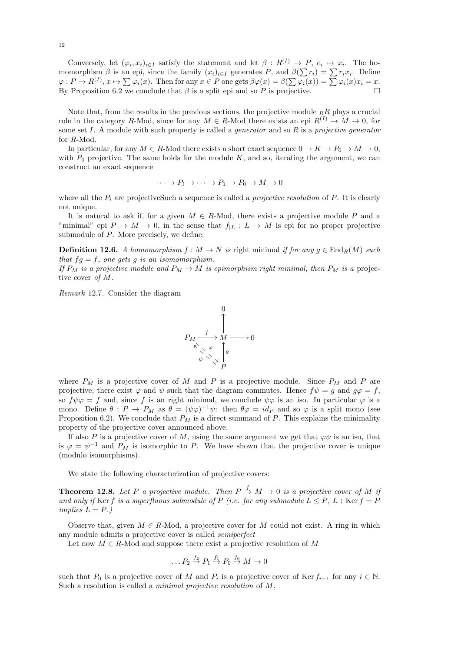Conversely, let  $(\varphi_i, x_i)_{i \in I}$  satisfy the statement and let  $\beta : R^{(I)} \to P$ ,  $e_i \mapsto x_i$ . The homomorphism  $\beta$  is an epi, since the family  $(x_i)_{i\in I}$  generates P, and  $\beta(\sum r_i) = \sum r_i x_i$ . Define  $\varphi: P \to R^{(I)}, x \mapsto \sum \varphi_i(x)$ . Then for any  $x \in P$  one gets  $\beta \varphi(x) = \beta(\sum \varphi_i(x)) = \sum \varphi_i(x)x_i = x$ . By Proposition 6.2 we conclude that  $\beta$  is a split epi and so P is projective.

Note that, from the results in the previous sections, the projective module  $_RR$  plays a crucial role in the category R-Mod, since for any  $M \in R$ -Mod there exists an epi  $R^{(I)} \to M \to 0$ , for some set I. A module with such property is called a *generator* and so  $R$  is a projective generator for R-Mod.

In particular, for any  $M \in R$ -Mod there exists a short exact sequence  $0 \to K \to P_0 \to M \to 0$ , with  $P_0$  projective. The same holds for the module K, and so, iterating the argument, we can construct an exact sequence

$$
\cdots \to P_i \to \cdots \to P_1 \to P_0 \to M \to 0
$$

where all the  $P_i$  are projectiveSuch a sequence is called a *projective resolution* of  $P$ . It is clearly not unique.

It is natural to ask if, for a given  $M \in R$ -Mod, there exists a projective module P and a "minimal" epi  $P \to M \to 0$ , in the sense that  $f_{|L}: L \to M$  is epi for no proper projective submodule of  $P$ . More precisely, we define:

**Definition 12.6.** A homomorphism  $f : M \to N$  is right minimal if for any  $g \in \text{End}_R(M)$  such that  $fg = f$ , one gets g is an isomomorphism.

If  $P_M$  is a projective module and  $P_M \to M$  is epimorphism right minimal, then  $P_M$  is a projective cover of M.

Remark 12.7. Consider the diagram



where  $P_M$  is a projective cover of M and P is a projective module. Since  $P_M$  and P are projective, there exist  $\varphi$  and  $\psi$  such that the diagram commutes. Hence  $f\psi = g$  and  $g\varphi = f$ , so  $f\psi\varphi = f$  and, since f is an right minimal, we conclude  $\psi\varphi$  is an iso. In particular  $\varphi$  is a mono. Define  $\theta: P \to P_M$  as  $\theta = (\psi \varphi)^{-1} \psi$ : then  $\theta \varphi = id_P$  and so  $\varphi$  is a split mono (see Proposition 6.2). We conclude that  $P_M$  is a direct summand of P. This explains the minimality property of the projective cover announced above.

If also P is a projective cover of M, using the same argument we get that  $\varphi\psi$  is an iso, that is  $\varphi = \psi^{-1}$  and  $P_M$  is isomorphic to P. We have shown that the projective cover is unique (modulo isomorphisms).

We state the following characterization of projective covers:

**Theorem 12.8.** Let P a projective module. Then  $P \stackrel{f}{\rightarrow} M \rightarrow 0$  is a projective cover of M ij and only if Ker f is a superfluous submodule of P (i.e. for any submodule  $L \leq P$ ,  $L +$ Ker  $f = P$ implies  $L = P.$ )

Observe that, given  $M \in R$ -Mod, a projective cover for M could not exist. A ring in which any module admits a projective cover is called semiperfect

Let now  $M \in R$ -Mod and suppose there exist a projective resolution of M

$$
\dots P_2 \stackrel{f_2}{\rightarrow} P_1 \stackrel{f_1}{\rightarrow} P_0 \stackrel{f_0}{\rightarrow} M \rightarrow 0
$$

such that  $P_0$  is a projective cover of M and  $P_i$  is a projective cover of Ker  $f_{i-1}$  for any  $i \in \mathbb{N}$ . Such a resolution is called a minimal projective resolution of M.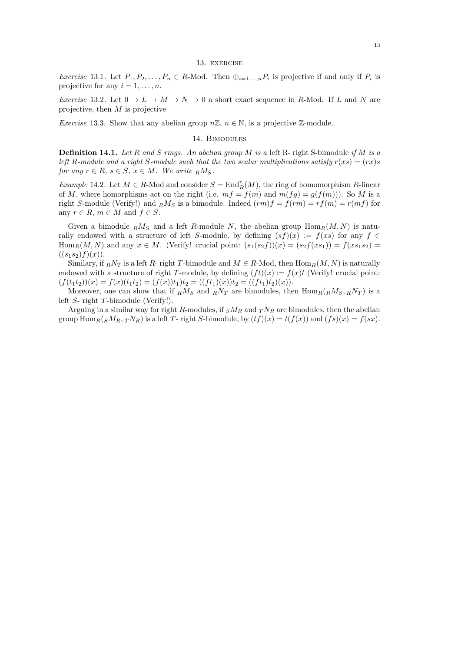### 13. exercise

*Exercise* 13.1. Let  $P_1, P_2, \ldots, P_n \in R$ -Mod. Then  $\bigoplus_{i=1,\ldots,n} P_i$  is projective if and only if  $P_i$  is projective for any  $i = 1, \ldots, n$ .

*Exercise* 13.2. Let  $0 \to L \to M \to N \to 0$  a short exact sequence in R-Mod. If L and N are projective, then  $M$  is projective

*Exercise* 13.3. Show that any abelian group  $n\mathbb{Z}, n \in \mathbb{N}$ , is a projective  $\mathbb{Z}$ -module.

## 14. Bimodules

**Definition 14.1.** Let R and S rings. An abelian group M is a left R- right S-bimodule if M is a left R-module and a right S-module such that the two scalar multiplications satisfy  $r(xs) = (rx)s$ for any  $r \in R$ ,  $s \in S$ ,  $x \in M$ . We write  $R M_S$ .

Example 14.2. Let  $M \in R$ -Mod and consider  $S = \text{End}_R^r(M)$ , the ring of homomorphism R-linear of M, where homorphisms act on the right (i.e.  $mf = f(m)$  and  $m(fg) = g(f(m))$ ). So M is a right S-module (Verify!) and  $_R M_S$  is a bimodule. Indeed  $(rm)f = f(rm) = rf(m) = r(mf)$  for any  $r \in R$ ,  $m \in M$  and  $f \in S$ .

Given a bimodule  $_R M_S$  and a left R-module N, the abelian group  $\text{Hom}_R(M, N)$  is naturally endowed with a structure of left S-module, by defining  $(sf)(x) := f(xs)$  for any  $f \in$  $\text{Hom}_R(M, N)$  and any  $x \in M$ . (Verify! crucial point:  $(s_1(s_2 f))(x) = (s_2 f(x s_1)) = f(x s_1 s_2) =$  $((s_1s_2)f)(x)$ .

Similary, if  $_RN_T$  is a left R- right T-bimodule and  $M \in R$ -Mod, then  $\text{Hom}_R(M, N)$  is naturally endowed with a structure of right T-module, by defining  $(f t)(x) := f(x)t$  (Verify! crucial point:  $(f(t_1t_2))(x) = f(x)(t_1t_2) = (f(x))t_1)t_2 = ((ft_1)(x))t_2 = ((ft_1)t_2)(x).$ 

Moreover, one can show that if  $_R M_S$  and  $_R N_T$  are bimodules, then  $\text{Hom}_R({}_R M_S, {}_R N_T)$  is a left S- right T-bimodule (Verify!).

Arguing in a similar way for right R-modules, if  $sM_R$  and  $T N_R$  are bimodules, then the abelian group  $\text{Hom}_R(sM_R, T N_R)$  is a left T- right S-bimodule, by  $(tf)(x) = t(f(x))$  and  $(fs)(x) = f(sx)$ .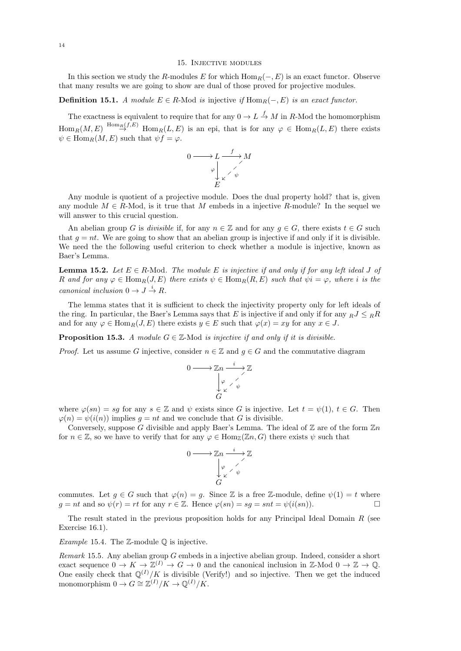#### 15. Injective modules

In this section we study the R-modules E for which  $\text{Hom}_R(-, E)$  is an exact functor. Observe that many results we are going to show are dual of those proved for projective modules.

## **Definition 15.1.** A module  $E \in R$ -Mod is injective if Hom<sub>R</sub>(−, E) is an exact functor.

The exactness is equivalent to require that for any  $0 \to L \stackrel{f}{\to} M$  in R-Mod the homomorphism  $\text{Hom}_R(M, E) \stackrel{\text{Hom}_R(f, E)}{\rightarrow} \text{Hom}_R(L, E)$  is an epi, that is for any  $\varphi \in \text{Hom}_R(L, E)$  there exists  $\psi \in \text{Hom}_R(M, E)$  such that  $\psi f = \varphi$ .

$$
0 \longrightarrow L \xrightarrow{\qquad f} M
$$

$$
\downarrow \searrow \searrow \searrow M
$$

$$
E
$$

Any module is quotient of a projective module. Does the dual property hold? that is, given any module  $M \in R$ -Mod, is it true that M embeds in a injective R-module? In the sequel we will answer to this crucial question.

An abelian group G is divisible if, for any  $n \in \mathbb{Z}$  and for any  $g \in G$ , there exists  $t \in G$  such that  $g = nt$ . We are going to show that an abelian group is injective if and only if it is divisible. We need the the following useful criterion to check whether a module is injective, known as Baer's Lemma.

**Lemma 15.2.** Let  $E \in R$ -Mod. The module E is injective if and only if for any left ideal J of R and for any  $\varphi \in \text{Hom}_R(J, E)$  there exists  $\psi \in \text{Hom}_R(R, E)$  such that  $\psi i = \varphi$ , where i is the canonical inclusion  $0 \to J \stackrel{i}{\to} R$ .

The lemma states that it is sufficient to check the injectivity property only for left ideals of the ring. In particular, the Baer's Lemma says that E is injective if and only if for any  $RJ \leq R$ and for any  $\varphi \in \text{Hom}_R(J, E)$  there exists  $y \in E$  such that  $\varphi(x) = xy$  for any  $x \in J$ .

**Proposition 15.3.** A module  $G \in \mathbb{Z}$ -Mod is injective if and only if it is divisible.

*Proof.* Let us assume G injective, consider  $n \in \mathbb{Z}$  and  $q \in G$  and the commutative diagram

$$
0 \longrightarrow \mathbb{Z}n \xrightarrow{i} \mathbb{Z}
$$

$$
\downarrow \varphi \qquad \downarrow \varphi
$$

$$
\downarrow \varphi \qquad \downarrow \varphi
$$

$$
\downarrow \varphi
$$

$$
\downarrow \varphi
$$

where  $\varphi(s_n) = sg$  for any  $s \in \mathbb{Z}$  and  $\psi$  exists since G is injective. Let  $t = \psi(1), t \in G$ . Then  $\varphi(n) = \psi(i(n))$  implies  $q = nt$  and we conclude that G is divisible.

Conversely, suppose G divisible and apply Baer's Lemma. The ideal of  $\mathbb Z$  are of the form  $\mathbb Z_n$ for  $n \in \mathbb{Z}$ , so we have to verify that for any  $\varphi \in \text{Hom}_{\mathbb{Z}}(\mathbb{Z}_n, G)$  there exists  $\psi$  such that

$$
0 \longrightarrow \mathbb{Z}n \xrightarrow{i} \mathbb{Z}
$$

$$
\downarrow \varphi \qquad \downarrow \varphi
$$

$$
\downarrow \varphi \qquad \downarrow \varphi
$$

$$
\downarrow \varphi
$$

$$
\downarrow \varphi
$$

commutes. Let  $g \in G$  such that  $\varphi(n) = g$ . Since Z is a free Z-module, define  $\psi(1) = t$  where  $g = nt$  and so  $\psi(r) = rt$  for any  $r \in \mathbb{Z}$ . Hence  $\varphi(sn) = sg = snt = \psi(i(sn))$ .

The result stated in the previous proposition holds for any Principal Ideal Domain  $R$  (see Exercise 16.1).

*Example* 15.4. The  $\mathbb{Z}$ -module  $\mathbb{Q}$  is injective.

Remark 15.5. Any abelian group G embeds in a injective abelian group. Indeed, consider a short exact sequence  $0 \to K \to \mathbb{Z}^{(I)} \to G \to 0$  and the canonical inclusion in  $\mathbb{Z}\text{-Mod }0 \to \mathbb{Z} \to \mathbb{Q}$ . One easily check that  $\mathbb{Q}^{(I)}/K$  is divisible (Verify!) and so injective. Then we get the induced monomorphism  $0 \to G \cong \mathbb{Z}^{(I)}/K \to \mathbb{Q}^{(I)}/K$ .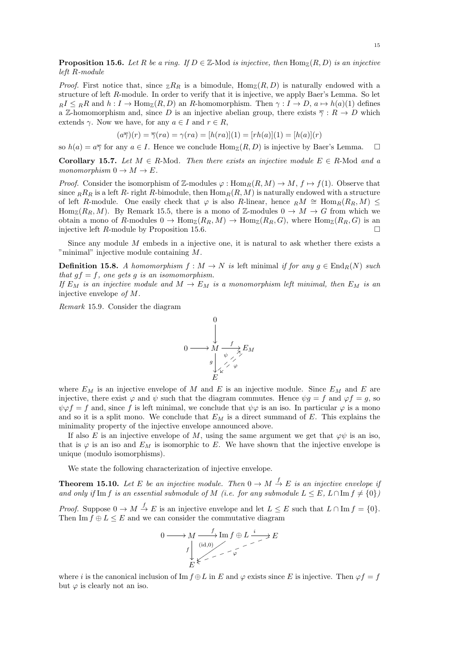**Proposition 15.6.** Let R be a ring. If  $D \in \mathbb{Z}$ -Mod is injective, then  $\text{Hom}_{\mathbb{Z}}(R, D)$  is an injective left R-module

*Proof.* First notice that, since  $_{\mathbb{Z}}R_R$  is a bimodule,  $\text{Hom}_{\mathbb{Z}}(R, D)$  is naturally endowed with a structure of left R-module. In order to verify that it is injective, we apply Baer's Lemma. So let  $R I \leq R R$  and  $h: I \to \text{Hom}_{\mathbb{Z}}(R, D)$  an R-homomorphism. Then  $\gamma: I \to D$ ,  $a \mapsto h(a)(1)$  defines a Z-homomorphism and, since D is an injective abelian group, there exists  $\overline{\gamma}: R \to D$  which extends  $\gamma$ . Now we have, for any  $a \in I$  and  $r \in R$ ,

$$
(a\overline{\gamma})(r) = \overline{\gamma}(ra) = \gamma(ra) = [h(ra)](1) = [rh(a)](1) = [h(a)](r)
$$

so  $h(a) = a\overline{\gamma}$  for any  $a \in I$ . Hence we conclude  $\text{Hom}_{\mathbb{Z}}(R, D)$  is injective by Baer's Lemma.  $\square$ 

Corollary 15.7. Let  $M \in R$ -Mod. Then there exists an injective module  $E \in R$ -Mod and a monomorphism  $0 \to M \to E$ .

*Proof.* Consider the isomorphism of Z-modules  $\varphi : \text{Hom}_R(R, M) \to M$ ,  $f \mapsto f(1)$ . Observe that since  $_R R_R$  is a left R- right R-bimodule, then  $\text{Hom}_R(R, M)$  is naturally endowed with a structure of left R-module. One easily check that  $\varphi$  is also R-linear, hence  $_R M \cong \text{Hom}_R(R_R, M)$ Hom<sub>Z</sub>(R<sub>R</sub>, M). By Remark 15.5, there is a mono of Z-modules  $0 \to M \to G$  from which we obtain a mono of R-modules  $0 \to \text{Hom}_{\mathbb{Z}}(R_R, M) \to \text{Hom}_{\mathbb{Z}}(R_R, G)$ , where  $\text{Hom}_{\mathbb{Z}}(R_R, G)$  is an injective left  $R$ -module by Proposition 15.6.

Since any module M embeds in a injective one, it is natural to ask whether there exists a "minimal" injective module containing M.

**Definition 15.8.** A homomorphism  $f : M \to N$  is left minimal if for any  $g \in \text{End}_R(N)$  such that  $gf = f$ , one gets g is an isomomorphism.

If  $E_M$  is an injective module and  $M \to E_M$  is a monomorphism left minimal, then  $E_M$  is an injective envelope of M.

Remark 15.9. Consider the diagram



where  $E_M$  is an injective envelope of M and E is an injective module. Since  $E_M$  and E are injective, there exist  $\varphi$  and  $\psi$  such that the diagram commutes. Hence  $\psi g = f$  and  $\varphi f = g$ , so  $\psi \varphi f = f$  and, since f is left minimal, we conclude that  $\psi \varphi$  is an iso. In particular  $\varphi$  is a mono and so it is a split mono. We conclude that  $E_M$  is a direct summand of E. This explains the minimality property of the injective envelope announced above.

If also E is an injective envelope of M, using the same argument we get that  $\varphi\psi$  is an iso, that is  $\varphi$  is an iso and  $E_M$  is isomorphic to E. We have shown that the injective envelope is unique (modulo isomorphisms).

We state the following characterization of injective envelope.

**Theorem 15.10.** Let E be an injective module. Then  $0 \to M \stackrel{f}{\to} E$  is an injective envelope if and only if Im f is an essential submodule of M (i.e. for any submodule  $L \leq E$ ,  $L \cap \text{Im } f \neq \{0\}$ )

*Proof.* Suppose  $0 \to M \stackrel{f}{\to} E$  is an injective envelope and let  $L \leq E$  such that  $L \cap \text{Im } f = \{0\}.$ Then Im  $f \oplus L \leq E$  and we can consider the commutative diagram

$$
0 \longrightarrow M \xrightarrow{f} \operatorname{Im} f \oplus L \xrightarrow{i} E
$$
  

$$
f \downarrow \qquad \qquad \downarrow \qquad \downarrow
$$
  

$$
E \uparrow \qquad \qquad \downarrow
$$

where i is the canonical inclusion of Im  $f \oplus L$  in E and  $\varphi$  exists since E is injective. Then  $\varphi f = f$ but  $\varphi$  is clearly not an iso.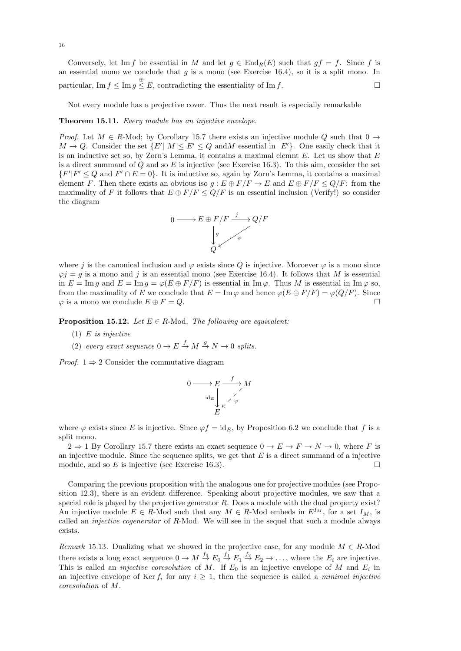Conversely, let Im f be essential in M and let  $g \in \text{End}_R(E)$  such that  $gf = f$ . Since f is an essential mono we conclude that  $g$  is a mono (see Exercise 16.4), so it is a split mono. In particular,  $\text{Im } f \leq \text{Im } g \stackrel{\oplus}{\leq} E$ , contradicting the essentiality of  $\text{Im } f$ .

Not every module has a projective cover. Thus the next result is especially remarkable

#### Theorem 15.11. Every module has an injective envelope.

*Proof.* Let  $M \in R$ -Mod; by Corollary 15.7 there exists an injective module Q such that  $0 \rightarrow$  $M \to Q$ . Consider the set  $\{E' | M \leq E' \leq Q \text{ and } M \text{ essential in } E'\}$ . One easily check that it is an inductive set so, by Zorn's Lemma, it contains a maximal elemnt  $E$ . Let us show that  $E$ is a direct summand of  $Q$  and so  $E$  is injective (see Exercise 16.3). To this aim, consider the set  $\{F'|F' \leq Q \text{ and } F' \cap E = 0\}.$  It is inductive so, again by Zorn's Lemma, it contains a maximal element F. Then there exists an obvious iso  $g : E \oplus F/F \to E$  and  $E \oplus F/F \le Q/F$ : from the maximality of F it follows that  $E \oplus F/F \le Q/F$  is an essential inclusion (Verify!) so consider the diagram



where j is the canonical inclusion and  $\varphi$  exists since Q is injective. Moroever  $\varphi$  is a mono since  $\varphi j = g$  is a mono and j is an essential mono (see Exercise 16.4). It follows that M is essential in  $E = \text{Im } q$  and  $E = \text{Im } q = \varphi(E \oplus F/F)$  is essential in  $\text{Im } \varphi$ . Thus M is essential in  $\text{Im } \varphi$  so, from the maximality of E we conclude that  $E = \text{Im}\,\varphi$  and hence  $\varphi(E \oplus F/F) = \varphi(Q/F)$ . Since  $\varphi$  is a mono we conclude  $E \oplus F = Q$ .

**Proposition 15.12.** Let  $E \in R$ -Mod. The following are equivalent:

- (1)  $E$  is injective
- (2) every exact sequence  $0 \to E \stackrel{f}{\to} M \stackrel{g}{\to} N \to 0$  splits.

*Proof.*  $1 \Rightarrow 2$  Consider the commutative diagram

$$
0 \longrightarrow E \longrightarrow M
$$
  
\n
$$
\downarrow_{\kappa} \qquad \searrow
$$
  
\n
$$
E
$$
  
\n
$$
E
$$

where  $\varphi$  exists since E is injective. Since  $\varphi f = id_E$ , by Proposition 6.2 we conclude that f is a split mono.

 $2 \Rightarrow 1$  By Corollary 15.7 there exists an exact sequence  $0 \rightarrow E \rightarrow F \rightarrow N \rightarrow 0$ , where F is an injective module. Since the sequence splits, we get that  $E$  is a direct summand of a injective module, and so E is injective (see Exercise 16.3).

Comparing the previous proposition with the analogous one for projective modules (see Proposition 12.3), there is an evident difference. Speaking about projective modules, we saw that a special role is played by the projective generator  $R$ . Does a module with the dual property exist? An injective module  $E \in R$ -Mod such that any  $M \in R$ -Mod embeds in  $E^{I_M}$ , for a set  $I_M$ , is called an *injective cogenerator* of R-Mod. We will see in the sequel that such a module always exists.

Remark 15.13. Dualizing what we showed in the projective case, for any module  $M \in R$ -Mod there exists a long exact sequence  $0 \to M \stackrel{f_0}{\to} E_0 \stackrel{f_1}{\to} E_1 \stackrel{f_2}{\to} E_2 \to \ldots$ , where the  $E_i$  are injective. This is called an *injective coresolution* of M. If  $E_0$  is an injective envelope of M and  $E_i$  in an injective envelope of Ker  $f_i$  for any  $i \geq 1$ , then the sequence is called a *minimal injective* coresolution of M.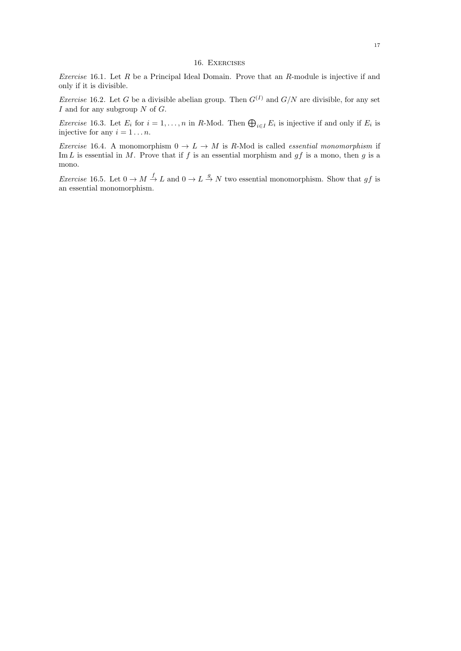## 16. Exercises

Exercise 16.1. Let  $R$  be a Principal Ideal Domain. Prove that an  $R$ -module is injective if and only if it is divisible.

*Exercise* 16.2. Let G be a divisible abelian group. Then  $G^{(I)}$  and  $G/N$  are divisible, for any set  $I$  and for any subgroup  $N$  of  $G$ .

*Exercise* 16.3. Let  $E_i$  for  $i = 1, ..., n$  in R-Mod. Then  $\bigoplus_{i \in I} E_i$  is injective if and only if  $E_i$  is injective for any  $i = 1 \dots n$ .

Exercise 16.4. A monomorphism  $0 \to L \to M$  is R-Mod is called *essential monomorphism* if Im L is essential in M. Prove that if f is an essential morphism and  $gf$  is a mono, then g is a mono.

*Exercise* 16.5. Let  $0 \to M \xrightarrow{f} L$  and  $0 \to L \xrightarrow{g} N$  two essential monomorphism. Show that gf is an essential monomorphism.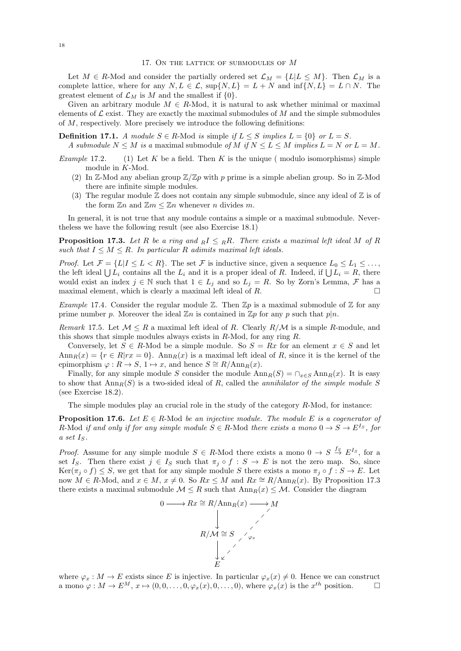Let  $M \in R$ -Mod and consider the partially ordered set  $\mathcal{L}_M = \{L | L \leq M\}$ . Then  $\mathcal{L}_M$  is a complete lattice, where for any  $N, L \in \mathcal{L}$ ,  $\sup\{N, L\} = L + N$  and  $\inf\{N, L\} = L \cap N$ . The greatest element of  $\mathcal{L}_M$  is M and the smallest if  $\{0\}.$ 

Given an arbitrary module  $M \in R$ -Mod, it is natural to ask whether minimal or maximal elements of  $\mathcal L$  exist. They are exactly the maximal submodules of  $M$  and the simple submodules of M, respectively. More precisely we introduce the following definitions:

**Definition 17.1.** A module  $S \in R$ -Mod is simple if  $L \leq S$  implies  $L = \{0\}$  or  $L = S$ . A submodule  $N \leq M$  is a maximal submodule of M if  $N \leq L \leq M$  implies  $L = N$  or  $L = M$ .

- *Example* 17.2. (1) Let K be a field. Then K is the unique (modulo isomorphisms) simple module in K-Mod.
	- (2) In Z-Mod any abelian group  $\mathbb{Z}/\mathbb{Z}p$  with p prime is a simple abelian group. So in Z-Mod there are infinite simple modules.
	- (3) The regular module  $\mathbb Z$  does not contain any simple submodule, since any ideal of  $\mathbb Z$  is of the form  $\mathbb{Z}n$  and  $\mathbb{Z}m \leq \mathbb{Z}n$  whenever n divides m.

In general, it is not true that any module contains a simple or a maximal submodule. Nevertheless we have the following result (see also Exercise 18.1)

**Proposition 17.3.** Let R be a ring and  $R I \leq R R$ . There exists a maximal left ideal M of R such that  $I \leq M \leq R$ . In particular R adimits maximal left ideals.

*Proof.* Let  $\mathcal{F} = \{L | I \leq L < R\}$ . The set  $\mathcal{F}$  is inductive since, given a sequence  $L_0 \leq L_1 \leq \ldots$ , the left ideal  $\bigcup L_i$  contains all the  $L_i$  and it is a proper ideal of R. Indeed, if  $\bigcup L_i = R$ , there would exist an index  $j \in \mathbb{N}$  such that  $1 \in L_j$  and so  $L_j = R$ . So by Zorn's Lemma,  $\mathcal F$  has a maximal element, which is clearly a maximal left ideal of  $R$ .

Example 17.4. Consider the regular module  $\mathbb Z$ . Then  $\mathbb Zp$  is a maximal submodule of  $\mathbb Z$  for any prime number p. Moreover the ideal  $\mathbb{Z}n$  is contained in  $\mathbb{Z}p$  for any p such that  $p|n$ .

Remark 17.5. Let  $\mathcal{M} \leq R$  a maximal left ideal of R. Clearly  $R/\mathcal{M}$  is a simple R-module, and this shows that simple modules always exists in  $R\text{-Mod}$ , for any ring  $R$ .

Conversely, let  $S \in R$ -Mod be a simple module. So  $S = Rx$  for an element  $x \in S$  and let  $\text{Ann}_R(x) = \{r \in R | rx = 0\}.$  Ann  $R(x)$  is a maximal left ideal of R, since it is the kernel of the epimorphism  $\varphi : R \to S$ ,  $1 \mapsto x$ , and hence  $S \cong R/\text{Ann}_R(x)$ .

Finally, for any simple module S consider the module  $\text{Ann}_R(S) = \bigcap_{x \in S} \text{Ann}_R(x)$ . It is easy to show that  $\text{Ann}_R(S)$  is a two-sided ideal of R, called the *annihilator of the simple module* S (see Exercise 18.2).

The simple modules play an crucial role in the study of the category  $R$ -Mod, for instance:

**Proposition 17.6.** Let  $E \in R$ -Mod be an injective module. The module E is a cogenerator of R-Mod if and only if for any simple module  $S \in R$ -Mod there exists a mono  $0 \to S \to E^{Is}$ , for a set  $I_S$ .

*Proof.* Assume for any simple module  $S \in R$ -Mod there exists a mono  $0 \to S \stackrel{f_S}{\to} E^{I_S}$ , for a set I<sub>S</sub>. Then there exist  $j \in I_S$  such that  $\pi_j \circ f : S \to E$  is not the zero map. So, since  $\text{Ker}(\pi_j \circ f) \leq S$ , we get that for any simple module S there exists a mono  $\pi_j \circ f : S \to E$ . Let now  $M \in R$ -Mod, and  $x \in M$ ,  $x \neq 0$ . So  $Rx \leq M$  and  $Rx \cong R/\text{Ann}_R(x)$ . By Proposition 17.3 there exists a maximal submodule  $\mathcal{M} \leq R$  such that  $\text{Ann}_R(x) \leq \mathcal{M}$ . Consider the diagram



where  $\varphi_x : M \to E$  exists since E is injective. In particular  $\varphi_x(x) \neq 0$ . Hence we can construct a mono  $\varphi: M \to E^M$ ,  $x \mapsto (0, 0, \ldots, 0, \varphi_x(x), 0, \ldots, 0)$ , where  $\varphi_x(x)$  is the  $x^{th}$  position.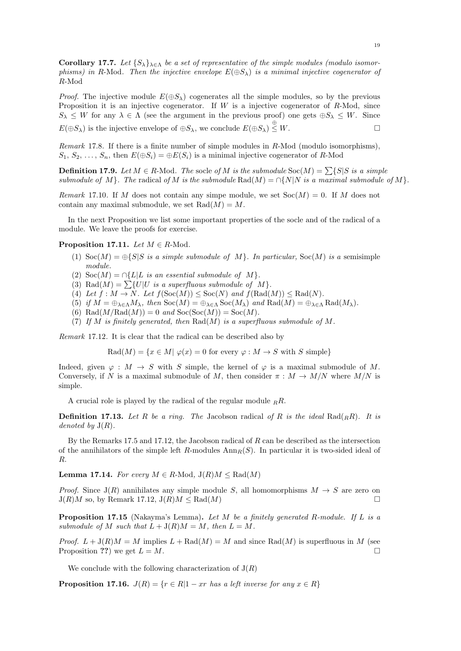Corollary 17.7. Let  $\{S_{\lambda}\}_{\lambda \in \Lambda}$  be a set of representative of the simple modules (modulo isomorphisms) in R-Mod. Then the injective envelope  $E(\oplus S_\lambda)$  is a minimal injective cogenerator of R-Mod

*Proof.* The injective module  $E(\oplus S_\lambda)$  cogenerates all the simple modules, so by the previous Proposition it is an injective cogenerator. If  $W$  is a injective cogenerator of  $R\text{-Mod}$ , since  $S_{\lambda} \leq W$  for any  $\lambda \in \Lambda$  (see the argument in the previous proof) one gets  $\oplus S_{\lambda} \leq W$ . Since

 $E(\oplus S_{\lambda})$  is the injective envelope of  $\oplus S_{\lambda}$ , we conclude  $E(\oplus S_{\lambda}) \stackrel{\oplus}{\leq} W$ .

Remark 17.8. If there is a finite number of simple modules in R-Mod (modulo isomorphisms),  $S_1, S_2, \ldots, S_n$ , then  $E(\oplus S_i) = \oplus E(S_i)$  is a minimal injective cogenerator of R-Mod

**Definition 17.9.** Let  $M \in R$ -Mod. The socle of M is the submodule  $Soc(M) = \sum \{S|S \text{ is a simple}\}$ submodule of M}. The radical of M is the submodule Rad(M) =  $\cap \{N \mid N \text{ is a maximal submodule of } M\}$ .

Remark 17.10. If M does not contain any simpe module, we set  $Soc(M) = 0$ . If M does not contain any maximal submodule, we set  $Rad(M) = M$ .

In the next Proposition we list some important properties of the socle and of the radical of a module. We leave the proofs for exercise.

**Proposition 17.11.** Let  $M \in R$ -Mod.

- (1)  $\text{Soc}(M) = \bigoplus \{S|S \text{ is a simple submodule of } M\}$ . In particular,  $\text{Soc}(M)$  is a semisimple module.
- (2) Soc $(M) = \bigcap \{L | L \text{ is an essential submodule of } M \}.$
- (3) Rad $(M) = \sum \{U|U$  is a superfluous submodule of M.
- (4) Let  $f : M \to N$ . Let  $f(\text{Soc}(M)) \leq \text{Soc}(N)$  and  $f(\text{Rad}(M)) \leq \text{Rad}(N)$ .
- (5) if  $M = \bigoplus_{\lambda \in \Lambda} M_{\lambda}$ , then  $Soc(M) = \bigoplus_{\lambda \in \Lambda} Soc(M_{\lambda})$  and  $Rad(M) = \bigoplus_{\lambda \in \Lambda} Rad(M_{\lambda})$ .
- (6) Rad $(M/Rad(M)) = 0$  and  $Soc(Soc(M)) = Soc(M)$ .
- (7) If M is finitely generated, then  $\text{Rad}(M)$  is a superfluous submodule of M.

Remark 17.12. It is clear that the radical can be described also by

 $Rad(M) = \{x \in M | \varphi(x) = 0 \text{ for every } \varphi : M \to S \text{ with } S \text{ simple}\}\$ 

Indeed, given  $\varphi : M \to S$  with S simple, the kernel of  $\varphi$  is a maximal submodule of M. Conversely, if N is a maximal submodule of M, then consider  $\pi : M \to M/N$  where  $M/N$  is simple.

A crucial role is played by the radical of the regular module  $_R R$ .

**Definition 17.13.** Let R be a ring. The Jacobson radical of R is the ideal Rad(<sub>R</sub>R). It is denoted by  $J(R)$ .

By the Remarks 17.5 and 17.12, the Jacobson radical of R can be described as the intersection of the annihilators of the simple left  $R$ -modules  $Ann_R(S)$ . In particular it is two-sided ideal of R.

**Lemma 17.14.** For every  $M \in R$ -Mod,  $J(R)M \leq Rad(M)$ 

*Proof.* Since  $J(R)$  annihilates any simple module S, all homomorphisms  $M \rightarrow S$  are zero on  $J(R)M$  so, by Remark 17.12,  $J(R)M \leq Rad(M)$ 

**Proposition 17.15** (Nakayma's Lemma). Let M be a finitely generated R-module. If L is a submodule of M such that  $L + J(R)M = M$ , then  $L = M$ .

*Proof.*  $L + J(R)M = M$  implies  $L + \text{Rad}(M) = M$  and since  $\text{Rad}(M)$  is superfluous in M (see Proposition ??) we get  $L = M$ .

We conclude with the following characterization of  $J(R)$ 

**Proposition 17.16.**  $J(R) = \{r \in R | 1 - xr \text{ has a left inverse for any } x \in R\}$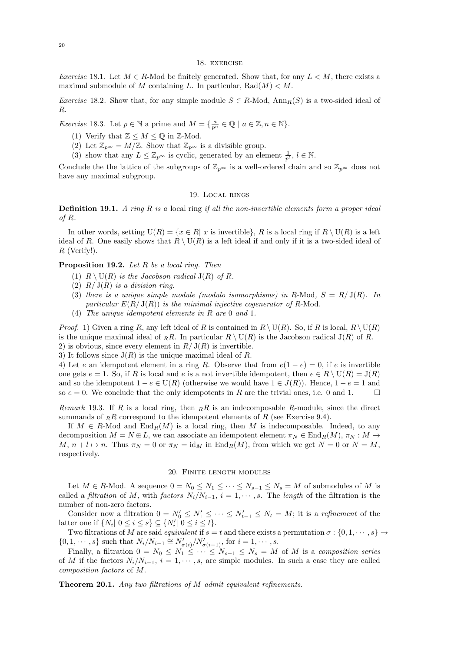#### 18. exercise

Exercise 18.1. Let  $M \in R$ -Mod be finitely generated. Show that, for any  $L < M$ , there exists a maximal submodule of M containing L. In particular,  $\text{Rad}(M) < M$ .

*Exercise* 18.2. Show that, for any simple module  $S \in R$ -Mod,  $Ann_R(S)$  is a two-sided ideal of R.

*Exercise* 18.3. Let  $p \in \mathbb{N}$  a prime and  $M = \{ \frac{a}{p^n} \in \mathbb{Q} \mid a \in \mathbb{Z}, n \in \mathbb{N} \}.$ 

- (1) Verify that  $\mathbb{Z} \leq M \leq \mathbb{Q}$  in  $\mathbb{Z}\text{-Mod}$ .
- (2) Let  $\mathbb{Z}_{p^{\infty}} = M/\mathbb{Z}$ . Show that  $\mathbb{Z}_{p^{\infty}}$  is a divisible group.
- (3) show that any  $L \leq \mathbb{Z}_{p^{\infty}}$  is cyclic, generated by an element  $\frac{1}{p^l}, l \in \mathbb{N}$ .

Conclude the the lattice of the subgroups of  $\mathbb{Z}_{p^{\infty}}$  is a well-ordered chain and so  $\mathbb{Z}_{p^{\infty}}$  does not have any maximal subgroup.

### 19. Local rings

# **Definition 19.1.** A ring  $R$  is a local ring if all the non-invertible elements form a proper ideal of R.

In other words, setting  $U(R) = \{x \in R | x$  is invertible  $\}$ , R is a local ring if  $R \setminus U(R)$  is a left ideal of R. One easily shows that  $R \setminus U(R)$  is a left ideal if and only if it is a two-sided ideal of R (Verify!).

## Proposition 19.2. Let R be a local ring. Then

- (1)  $R \setminus \mathrm{U}(R)$  is the Jacobson radical  $\mathrm{J}(R)$  of R.
- (2)  $R/J(R)$  is a division ring.
- (3) there is a unique simple module (modulo isomorphisms) in R-Mod,  $S = R/J(R)$ . In particular  $E(R/J(R))$  is the minimal injective cogenerator of R-Mod.
- (4) The unique idempotent elements in R are 0 and 1.

*Proof.* 1) Given a ring R, any left ideal of R is contained in  $R \setminus U(R)$ . So, if R is local,  $R \setminus U(R)$ is the unique maximal ideal of RR. In particular  $R \setminus U(R)$  is the Jacobson radical  $J(R)$  of R. 2) is obvious, since every element in  $R/J(R)$  is invertible.

3) It follows since  $J(R)$  is the unique maximal ideal of R.

4) Let e an idempotent element in a ring R. Observe that from  $e(1-e) = 0$ , if e is invertible one gets  $e = 1$ . So, if R is local and e is a not invertible idempotent, then  $e \in R \setminus U(R) = J(R)$ and so the idempotent  $1 - e \in U(R)$  (otherwise we would have  $1 \in J(R)$ ). Hence,  $1 - e = 1$  and so  $e = 0$ . We conclude that the only idempotents in R are the trivial ones, i.e. 0 and 1.

Remark 19.3. If R is a local ring, then  $_R$ R is an indecomposable R-module, since the direct summands of RR correspond to the idempotent elements of R (see Exercise 9.4).

If  $M \in R$ -Mod and  $\text{End}_R(M)$  is a local ring, then M is indecomposable. Indeed, to any decomposition  $M = N \oplus L$ , we can associate an idempotent element  $\pi_N \in \text{End}_R(M)$ ,  $\pi_N : M \to$ M,  $n + l \mapsto n$ . Thus  $\pi_N = 0$  or  $\pi_N = \text{id}_M$  in  $\text{End}_R(M)$ , from which we get  $N = 0$  or  $N = M$ , respectively.

#### 20. Finite length modules

Let  $M \in R$ -Mod. A sequence  $0 = N_0 \leq N_1 \leq \cdots \leq N_{s-1} \leq N_s = M$  of submodules of M is called a *filtration* of M, with factors  $N_i/N_{i-1}$ ,  $i = 1, \dots, s$ . The length of the filtration is the number of non-zero factors.

Consider now a filtration  $0 = N'_0 \leq N'_1 \leq \cdots \leq N'_{t-1} \leq N_t = M$ ; it is a *refinement* of the latter one if  $\{N_i | 0 \le i \le s\} \subseteq \{N'_i | 0 \le i \le t\}.$ 

Two filtrations of M are said *equivalent* if  $s = t$  and there exists a permutation  $\sigma : \{0, 1, \dots, s\} \to$  $\{0, 1, \cdots, s\}$  such that  $N_i/N_{i-1} \cong N'_{\sigma(i)}/N'_{\sigma(i-1)}$ , for  $i = 1, \cdots, s$ .

Finally, a filtration  $0 = N_0 \leq N_1 \leq \cdots \leq N_{s-1} \leq N_s = M$  of M is a composition series of M if the factors  $N_i/N_{i-1}$ ,  $i = 1, \dots, s$ , are simple modules. In such a case they are called composition factors of M.

Theorem 20.1. Any two filtrations of M admit equivalent refinements.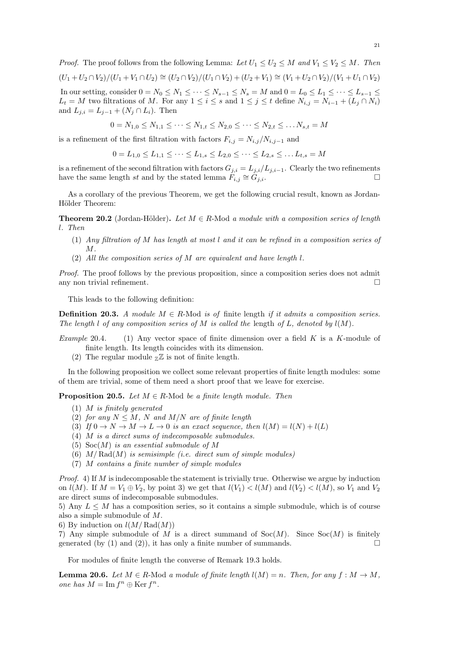*Proof.* The proof follows from the following Lemma: Let  $U_1 \leq U_2 \leq M$  and  $V_1 \leq V_2 \leq M$ . Then  $(U_1 + U_2 \cap V_2)/(U_1 + V_1 \cap U_2) \cong (U_2 \cap V_2)/(U_1 \cap V_2) + (U_2 + V_1) \cong (V_1 + U_2 \cap V_2)/(V_1 + U_1 \cap V_2)$ In our setting, consider  $0 = N_0 \leq N_1 \leq \cdots \leq N_{s-1} \leq N_s = M$  and  $0 = L_0 \leq L_1 \leq \cdots \leq L_{s-1} \leq$ 

 $L_t = M$  two filtrations of M. For any  $1 \leq i \leq s$  and  $1 \leq j \leq t$  define  $N_{i,j} = N_{i-1} + (L_j \cap N_i)$ and  $L_{j,i} = L_{j-1} + (N_j \cap L_i)$ . Then

$$
0 = N_{1,0} \leq N_{1,1} \leq \cdots \leq N_{1,t} \leq N_{2,0} \leq \cdots \leq N_{2,t} \leq \ldots N_{s,t} = M
$$

is a refinement of the first filtration with factors  $F_{i,j} = N_{i,j}/N_{i,j-1}$  and

$$
0 = L_{1,0} \le L_{1,1} \le \cdots \le L_{1,s} \le L_{2,0} \le \cdots \le L_{2,s} \le \ldots L_{t,s} = M
$$

is a refinement of the second filtration with factors  $G_{j,i} = L_{j,i}/L_{j,i-1}$ . Clearly the two refinements have the same length st and by the stated lemma  $F_{i,j} \cong G_{j,i}$ .

As a corollary of the previous Theorem, we get the following crucial result, known as Jordan-Hölder Theorem:

**Theorem 20.2** (Jordan-Hölder). Let  $M \in R$ -Mod a module with a composition series of length l. Then

- (1) Any filtration of M has length at most l and it can be refined in a composition series of M.
- (2) All the composition series of M are equivalent and have length l.

Proof. The proof follows by the previous proposition, since a composition series does not admit any non trivial refinement.  $\Box$ 

This leads to the following definition:

**Definition 20.3.** A module  $M \in R$ -Mod is of finite length if it admits a composition series. The length l of any composition series of M is called the length of L, denoted by  $l(M)$ .

- Example 20.4. (1) Any vector space of finite dimension over a field K is a K-module of finite length. Its length coincides with its dimension.
	- (2) The regular module  $Z\mathbb{Z}$  is not of finite length.

In the following proposition we collect some relevant properties of finite length modules: some of them are trivial, some of them need a short proof that we leave for exercise.

**Proposition 20.5.** Let  $M \in R$ -Mod be a finite length module. Then

- (1) M is finitely generated
- (2) for any  $N \leq M$ , N and  $M/N$  are of finite length
- (3) If  $0 \to N \to M \to L \to 0$  is an exact sequence, then  $l(M) = l(N) + l(L)$
- (4) M is a direct sums of indecomposable submodules.
- (5)  $Soc(M)$  is an essential submodule of M
- (6)  $M/Rad(M)$  is semisimple (i.e. direct sum of simple modules)
- (7) M contains a finite number of simple modules

*Proof.* 4) If M is indecomposable the statement is trivially true. Otherwise we argue by induction on  $l(M)$ . If  $M = V_1 \oplus V_2$ , by point 3) we get that  $l(V_1) < l(M)$  and  $l(V_2) < l(M)$ , so  $V_1$  and  $V_2$ are direct sums of indecomposable submodules.

5) Any  $L \leq M$  has a composition series, so it contains a simple submodule, which is of course also a simple submodule of M.

6) By induction on  $l(M/\text{Rad}(M))$ 

7) Any simple submodule of M is a direct summand of  $Soc(M)$ . Since  $Soc(M)$  is finitely generated (by (1) and (2)), it has only a finite number of summands.  $\square$ 

For modules of finite length the converse of Remark 19.3 holds.

**Lemma 20.6.** Let  $M \in R$ -Mod a module of finite length  $l(M) = n$ . Then, for any  $f : M \to M$ , one has  $M = \text{Im } f^n \oplus \text{Ker } f^n$ .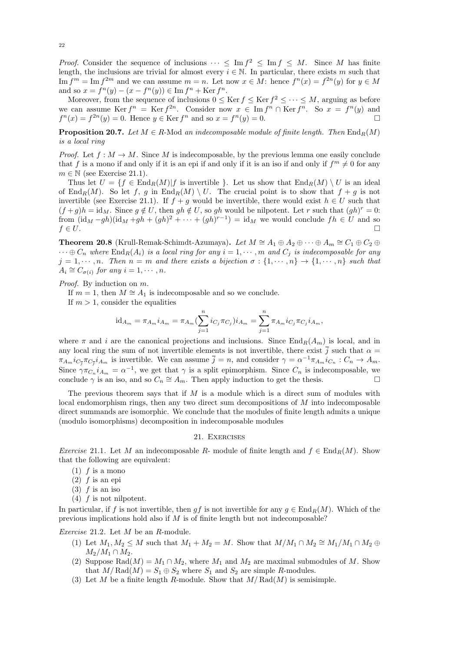*Proof.* Consider the sequence of inclusions  $\cdots \leq \text{Im } f^2 \leq \text{Im } f \leq M$ . Since M has finite length, the inclusions are trivial for almost every  $i \in \mathbb{N}$ . In particular, there exists m such that Im  $f^m = \text{Im } f^{2m}$  and we can assume  $m = n$ . Let now  $x \in M$ : hence  $f^n(x) = f^{2n}(y)$  for  $y \in M$ and so  $x = f^{n}(y) - (x - f^{n}(y)) \in \text{Im } f^{n} + \text{Ker } f^{n}$ .

Moreover, from the sequence of inclusions  $0 \leq \text{Ker } f \leq \text{Ker } f^2 \leq \cdots \leq M$ , arguing as before we can assume Ker  $f^n = \text{Ker } f^{2n}$ . Consider now  $x \in \text{Im } f^n \cap \text{Ker } f^n$ . So  $x = f^n(y)$  and  $f^{n}(x) = f^{2n}(y) = 0.$  Hence  $y \in \text{Ker } f^{n}$  and so  $x = f^{n}(y) = 0.$ 

**Proposition 20.7.** Let  $M \in R$ -Mod an indecomposable module of finite length. Then  $\text{End}_R(M)$ is a local ring

*Proof.* Let  $f : M \to M$ . Since M is indecomposable, by the previous lemma one easily conclude that f is a mono if and only if it is an epi if and only if it is an iso if and only if  $f^m \neq 0$  for any  $m \in \mathbb{N}$  (see Exercise 21.1).

Thus let  $U = \{f \in \text{End}_R(M)|f \text{ is invertible }\}\.$  Let us show that  $\text{End}_R(M) \setminus U$  is an ideal of  $\text{End}_R(M)$ . So let f, g in  $\text{End}_R(M) \setminus U$ . The crucial point is to show that  $f + g$  is not invertible (see Exercise 21.1). If  $f + g$  would be invertible, there would exist  $h \in U$  such that  $(f+g)h = id_M$ . Since  $g \notin U$ , then  $gh \notin U$ , so gh would be nilpotent. Let r such that  $(gh)^r = 0$ : from  $(\mathrm{id}_M - gh)(\mathrm{id}_M + gh + (gh)^2 + \cdots + (gh)^{r-1}) = \mathrm{id}_M$  we would conclude  $fh \in U$  and so  $f \in U$ .

Theorem 20.8 (Krull-Remak-Schimdt-Azumaya). Let  $M \cong A_1 \oplus A_2 \oplus \cdots \oplus A_m \cong C_1 \oplus C_2 \oplus$  $\cdots \oplus C_n$  where  $\text{End}_R(A_i)$  is a local ring for any  $i = 1, \cdots, m$  and  $C_j$  is indecomposable for any  $j = 1, \dots, n$ . Then  $n = m$  and there exists a bijection  $\sigma : \{1, \dots, n\} \to \{1, \dots, n\}$  such that  $A_i \cong C_{\sigma(i)}$  for any  $i = 1, \cdots, n$ .

Proof. By induction on  $m$ .

If  $m = 1$ , then  $M \cong A_1$  is indecomposable and so we conclude.

If  $m > 1$ , consider the equalities

$$
id_{A_m} = \pi_{A_m} i_{A_m} = \pi_{A_m} (\sum_{j=1}^n i_{C_j} \pi_{C_j}) i_{A_m} = \sum_{j=1}^n \pi_{A_m} i_{C_j} \pi_{C_j} i_{A_m},
$$

where  $\pi$  and i are the canonical projections and inclusions. Since End<sub>R</sub>( $A_m$ ) is local, and in any local ring the sum of not invertible elements is not invertible, there exist  $\bar{j}$  such that  $\alpha =$  $\pi_{A_m} i_{C_{\overline{j}}} \pi_{C_{\overline{j}}} i_{A_m}$  is invertible. We can assume  $\overline{j} = n$ , and consider  $\gamma = \alpha^{-1} \pi_{A_m} i_{C_n} : C_n \to A_m$ . Since  $\gamma \pi_{C_n} i_{A_m} = \alpha^{-1}$ , we get that  $\gamma$  is a split epimorphism. Since  $C_n$  is indecomposable, we conclude  $\gamma$  is an iso, and so  $C_n \cong A_m$ . Then apply induction to get the thesis.  $\Box$ 

The previous theorem says that if  $M$  is a module which is a direct sum of modules with local endomorphism rings, then any two direct sum decompositions of M into indecomposable direct summands are isomorphic. We conclude that the modules of finite length admits a unique (modulo isomorphisms) decomposition in indecomposable modules

## 21. Exercises

Exercise 21.1. Let M an indecomposable R- module of finite length and  $f \in \text{End}_{R}(M)$ . Show that the following are equivalent:

- $(1)$  f is a mono
- $(2)$  f is an epi
- $(3)$  f is an iso
- (4) f is not nilpotent.

In particular, if f is not invertible, then gf is not invertible for any  $g \in \text{End}_R(M)$ . Which of the previous implications hold also if M is of finite length but not indecomposable?

Exercise 21.2. Let M be an R-module.

- (1) Let  $M_1, M_2 \leq M$  such that  $M_1 + M_2 = M$ . Show that  $M/M_1 \cap M_2 \cong M_1/M_1 \cap M_2 \oplus M_2$  $M_2/M_1 \cap M_2$ .
- (2) Suppose Rad $(M) = M_1 \cap M_2$ , where  $M_1$  and  $M_2$  are maximal submodules of M. Show that  $M/Rad(M) = S_1 \oplus S_2$  where  $S_1$  and  $S_2$  are simple R-modules.
- (3) Let M be a finite length R-module. Show that  $M/Rad(M)$  is semisimple.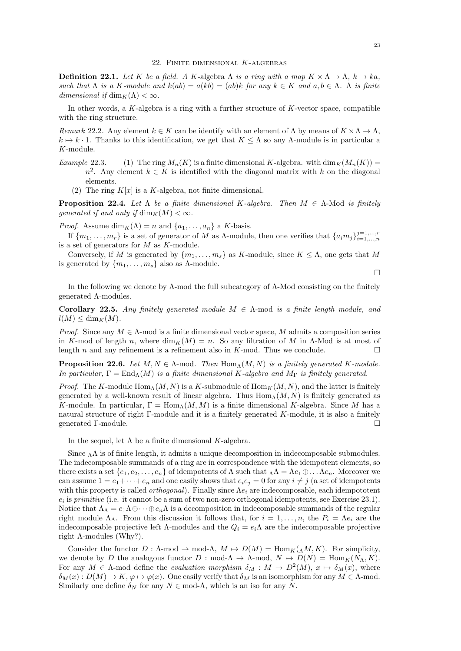**Definition 22.1.** Let K be a field. A K-algebra  $\Lambda$  is a ring with a map  $K \times \Lambda \to \Lambda$ ,  $k \mapsto ka$ , such that  $\Lambda$  is a K-module and  $k(ab) = a(kb) = (ab)k$  for any  $k \in K$  and  $a, b \in \Lambda$ .  $\Lambda$  is finite dimensional if  $\dim_K(\Lambda) < \infty$ .

In other words, a K-algebra is a ring with a further structure of K-vector space, compatible with the ring structure.

Remark 22.2. Any element  $k \in K$  can be identify with an element of  $\Lambda$  by means of  $K \times \Lambda \to \Lambda$ ,  $k \mapsto k \cdot 1$ . Thanks to this identification, we get that  $K \leq \Lambda$  so any  $\Lambda$ -module is in particular a K-module.

- Example 22.3. (1) The ring  $M_n(K)$  is a finite dimensional K-algebra. with  $\dim_K(M_n(K)) =$  $n^2$ . Any element  $k \in K$  is identified with the diagonal matrix with k on the diagonal elements.
	- (2) The ring  $K[x]$  is a K-algebra, not finite dimensional.

**Proposition 22.4.** Let  $\Lambda$  be a finite dimensional K-algebra. Then  $M \in \Lambda$ -Mod is finitely generated if and only if  $\dim_K(M) < \infty$ .

*Proof.* Assume  $\dim_K(\Lambda) = n$  and  $\{a_1, \ldots, a_n\}$  a K-basis.

If  $\{m_1,\ldots,m_r\}$  is a set of generator of M as  $\Lambda$ -module, then one verifies that  $\{a_im_j\}_{i=1,\ldots,n}^{j=1,\ldots,r}$ is a set of generators for  $M$  as  $K$ -module.

Conversely, if M is generated by  $\{m_1, \ldots, m_s\}$  as K-module, since  $K \leq \Lambda$ , one gets that M is generated by  $\{m_1, \ldots, m_s\}$  also as  $\Lambda$ -module.

 $\Box$ 

In the following we denote by  $\Lambda$ -mod the full subcategory of  $\Lambda$ -Mod consisting on the finitely generated Λ-modules.

Corollary 22.5. Any finitely generated module  $M \in \Lambda$ -mod is a finite length module, and  $l(M) \le \dim_K(M)$ .

*Proof.* Since any  $M \in \Lambda$ -mod is a finite dimensional vector space, M admits a composition series in K-mod of length n, where  $\dim_K(M) = n$ . So any filtration of M in Λ-Mod is at most of length n and any refinement is a refinement also in K-mod. Thus we conclude.  $\square$ 

**Proposition 22.6.** Let  $M, N \in \Lambda$ -mod. Then  $\text{Hom}_{\Lambda}(M, N)$  is a finitely generated K-module. In particular,  $\Gamma = \text{End}_{\Lambda}(M)$  is a finite dimensional K-algebra and  $M_{\Gamma}$  is finitely generated.

*Proof.* The K-module  $\text{Hom}_{\Lambda}(M, N)$  is a K-submodule of  $\text{Hom}_{K}(M, N)$ , and the latter is finitely generated by a well-known result of linear algebra. Thus  $\text{Hom}_{\Lambda}(M, N)$  is finitely generated as K-module. In particular,  $\Gamma = \text{Hom}_{\Lambda}(M, M)$  is a finite dimensional K-algebra. Since M has a natural structure of right Γ-module and it is a finitely generated K-module, it is also a finitely generated Γ-module.

In the sequel, let  $\Lambda$  be a finite dimensional K-algebra.

Since  $\Lambda$  is of finite length, it admits a unique decomposition in indecomposable submodules. The indecomposable summands of a ring are in correspondence with the idempotent elements, so there exists a set  $\{e_1, e_2, \ldots, e_n\}$  of idempotents of  $\Lambda$  such that  $\Lambda \Lambda = \Lambda e_1 \oplus \ldots \Lambda e_n$ . Moreover we can assume  $1 = e_1 + \cdots + e_n$  and one easily shows that  $e_i e_j = 0$  for any  $i \neq j$  (a set of idempotents with this property is called *orthogonal*). Finally since  $\Lambda e_i$  are indecomposable, each idempototent  $e_i$  is primitive (i.e. it cannot be a sum of two non-zero orthogonal idempotents, see Exercise 23.1). Notice that  $\Lambda_{\Lambda} = e_1 \Lambda \oplus \cdots \oplus e_n \Lambda$  is a decomposition in indecomposable summands of the regular right module  $\Lambda_{\Lambda}$ . From this discussion it follows that, for  $i = 1, \ldots, n$ , the  $P_i = \Lambda e_i$  are the indecomposable projective left Λ-modules and the  $Q_i = e_i \Lambda$  are the indecomposable projective right  $\Lambda$ -modules (Why?).

Consider the functor  $D : \Lambda \text{-mod} \to \text{mod-}\Lambda$ ,  $M \mapsto D(M) = \text{Hom}_K(\Lambda M, K)$ . For simplicity, we denote by D the analogous functor  $D : \text{mod-}\Lambda \to \Lambda \text{-mod}, N \mapsto D(N) = \text{Hom}_K(N_\Lambda, K)$ . For any  $M \in \Lambda$ -mod define the *evaluation morphism*  $\delta_M : M \to D^2(M)$ ,  $x \mapsto \delta_M(x)$ , where  $\delta_M(x): D(M) \to K, \varphi \mapsto \varphi(x)$ . One easily verify that  $\delta_M$  is an isomorphism for any  $M \in \Lambda$ -mod. Similarly one define  $\delta_N$  for any  $N \in \text{mod-}\Lambda$ , which is an iso for any N.